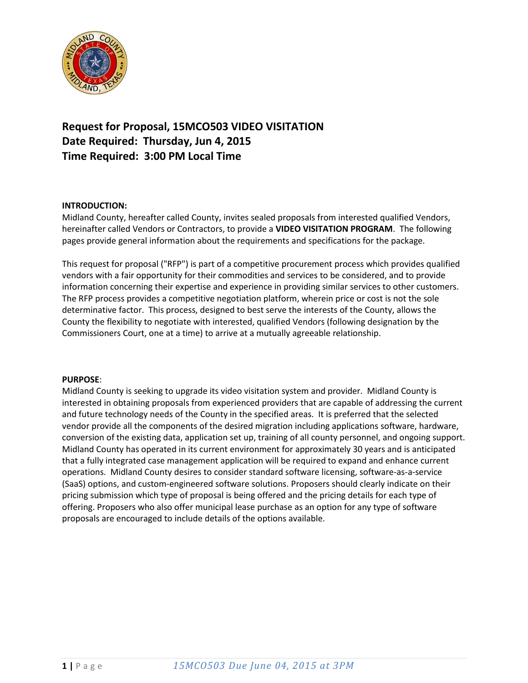

### **Request for Proposal, 15MCO503 VIDEO VISITATION Date Required: Thursday, Jun 4, 2015 Time Required: 3:00 PM Local Time**

#### **INTRODUCTION:**

Midland County, hereafter called County, invites sealed proposals from interested qualified Vendors, hereinafter called Vendors or Contractors, to provide a **VIDEO VISITATION PROGRAM**. The following pages provide general information about the requirements and specifications for the package.

This request for proposal ("RFP") is part of a competitive procurement process which provides qualified vendors with a fair opportunity for their commodities and services to be considered, and to provide information concerning their expertise and experience in providing similar services to other customers. The RFP process provides a competitive negotiation platform, wherein price or cost is not the sole determinative factor. This process, designed to best serve the interests of the County, allows the County the flexibility to negotiate with interested, qualified Vendors (following designation by the Commissioners Court, one at a time) to arrive at a mutually agreeable relationship.

#### **PURPOSE**:

Midland County is seeking to upgrade its video visitation system and provider. Midland County is interested in obtaining proposals from experienced providers that are capable of addressing the current and future technology needs of the County in the specified areas. It is preferred that the selected vendor provide all the components of the desired migration including applications software, hardware, conversion of the existing data, application set up, training of all county personnel, and ongoing support. Midland County has operated in its current environment for approximately 30 years and is anticipated that a fully integrated case management application will be required to expand and enhance current operations. Midland County desires to consider standard software licensing, software‐as‐a‐service (SaaS) options, and custom‐engineered software solutions. Proposers should clearly indicate on their pricing submission which type of proposal is being offered and the pricing details for each type of offering. Proposers who also offer municipal lease purchase as an option for any type of software proposals are encouraged to include details of the options available.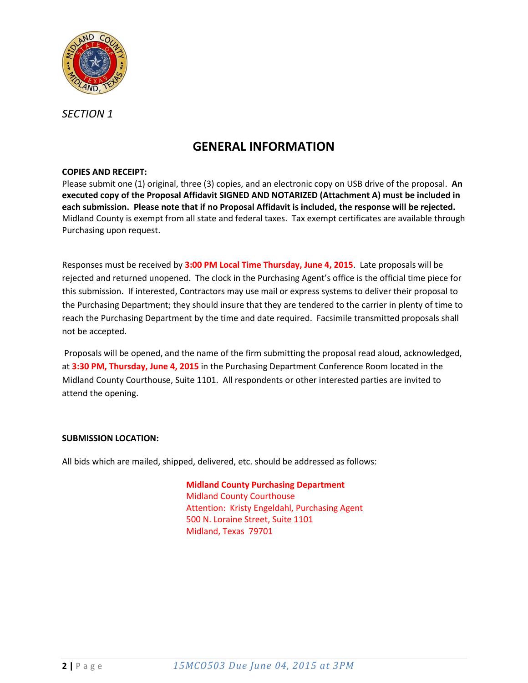

*SECTION 1*

### **GENERAL INFORMATION**

#### **COPIES AND RECEIPT:**

Please submit one (1) original, three (3) copies, and an electronic copy on USB drive of the proposal. **An executed copy of the Proposal Affidavit SIGNED AND NOTARIZED (Attachment A) must be included in each submission. Please note that if no Proposal Affidavit is included, the response will be rejected.**  Midland County is exempt from all state and federal taxes. Tax exempt certificates are available through Purchasing upon request.

Responses must be received by **3:00 PM Local Time Thursday, June 4, 2015**. Late proposals will be rejected and returned unopened. The clock in the Purchasing Agent's office is the official time piece for this submission. If interested, Contractors may use mail or express systems to deliver their proposal to the Purchasing Department; they should insure that they are tendered to the carrier in plenty of time to reach the Purchasing Department by the time and date required. Facsimile transmitted proposals shall not be accepted.

Proposals will be opened, and the name of the firm submitting the proposal read aloud, acknowledged, at **3:30 PM, Thursday, June 4, 2015** in the Purchasing Department Conference Room located in the Midland County Courthouse, Suite 1101. All respondents or other interested parties are invited to attend the opening.

#### **SUBMISSION LOCATION:**

All bids which are mailed, shipped, delivered, etc. should be addressed as follows:

**Midland County Purchasing Department** Midland County Courthouse Attention: Kristy Engeldahl, Purchasing Agent 500 N. Loraine Street, Suite 1101 Midland, Texas 79701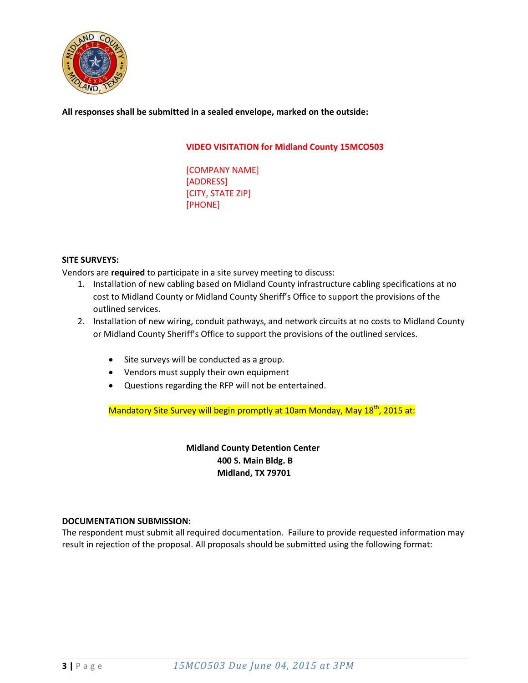

**All responses shall be submitted in a sealed envelope, marked on the outside:**

#### **VIDEO VISITATION for Midland County 15MCO503**

[COMPANY NAME] [ADDRESS] [CITY, STATE ZIP] [PHONE]

#### **SITE SURVEYS:**

Vendors are **required** to participate in a site survey meeting to discuss:

- 1. Installation of new cabling based on Midland County infrastructure cabling specifications at no cost to Midland County or Midland County Sheriff's Office to support the provisions of the outlined services.
- 2. Installation of new wiring, conduit pathways, and network circuits at no costs to Midland County or Midland County Sheriff's Office to support the provisions of the outlined services.
	- Site surveys will be conducted as a group.
	- Vendors must supply their own equipment
	- Questions regarding the RFP will not be entertained.

Mandatory Site Survey will begin promptly at 10am Monday, May 18<sup>th</sup>, 2015 at:

**Midland County Detention Center 400 S. Main Bldg. B Midland, TX 79701**

#### **DOCUMENTATION SUBMISSION:**

The respondent must submit all required documentation. Failure to provide requested information may result in rejection of the proposal. All proposals should be submitted using the following format: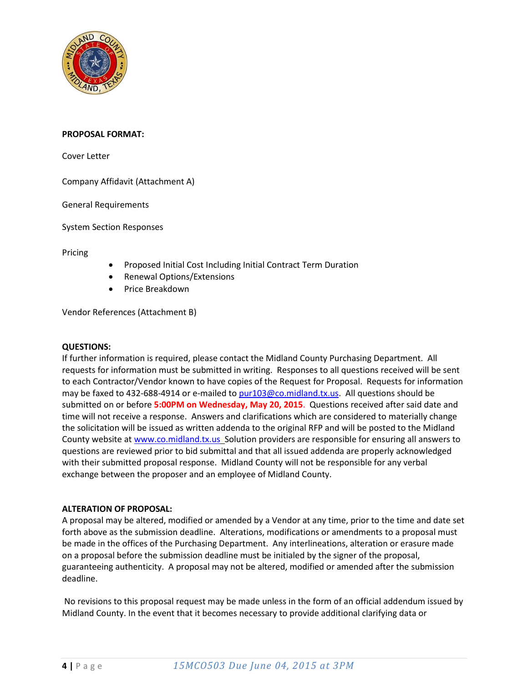

#### **PROPOSAL FORMAT:**

Cover Letter

Company Affidavit (Attachment A)

General Requirements

System Section Responses

Pricing

- Proposed Initial Cost Including Initial Contract Term Duration
- Renewal Options/Extensions
- Price Breakdown

Vendor References (Attachment B)

#### **QUESTIONS:**

If further information is required, please contact the Midland County Purchasing Department. All requests for information must be submitted in writing. Responses to all questions received will be sent to each Contractor/Vendor known to have copies of the Request for Proposal. Requests for information may be faxed to 432-688-4914 or e-mailed to [pur103@co.midland.tx.us.](mailto:pur103@co.midland.tx.us) All questions should be submitted on or before **5:00PM on Wednesday, May 20, 2015**. Questions received after said date and time will not receive a response. Answers and clarifications which are considered to materially change the solicitation will be issued as written addenda to the original RFP and will be posted to the Midland County website at [www.co.midland.tx.us](http://www.co.midland.tx.us/) Solution providers are responsible for ensuring all answers to questions are reviewed prior to bid submittal and that all issued addenda are properly acknowledged with their submitted proposal response. Midland County will not be responsible for any verbal exchange between the proposer and an employee of Midland County.

#### **ALTERATION OF PROPOSAL:**

A proposal may be altered, modified or amended by a Vendor at any time, prior to the time and date set forth above as the submission deadline. Alterations, modifications or amendments to a proposal must be made in the offices of the Purchasing Department. Any interlineations, alteration or erasure made on a proposal before the submission deadline must be initialed by the signer of the proposal, guaranteeing authenticity. A proposal may not be altered, modified or amended after the submission deadline.

No revisions to this proposal request may be made unless in the form of an official addendum issued by Midland County. In the event that it becomes necessary to provide additional clarifying data or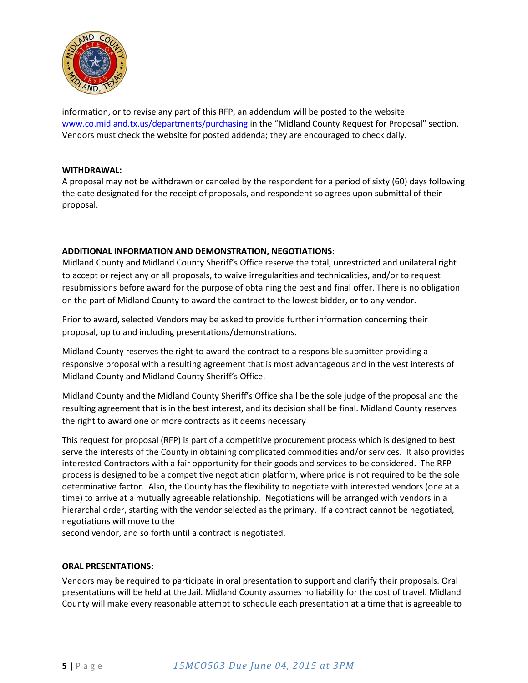

information, or to revise any part of this RFP, an addendum will be posted to the website: [www.co.midland.tx.us/departments/purchasing](http://www.co.midland.tx.us/departments/purchasing) in the "Midland County Request for Proposal" section. Vendors must check the website for posted addenda; they are encouraged to check daily.

#### **WITHDRAWAL:**

A proposal may not be withdrawn or canceled by the respondent for a period of sixty (60) days following the date designated for the receipt of proposals, and respondent so agrees upon submittal of their proposal.

#### **ADDITIONAL INFORMATION AND DEMONSTRATION, NEGOTIATIONS:**

Midland County and Midland County Sheriff's Office reserve the total, unrestricted and unilateral right to accept or reject any or all proposals, to waive irregularities and technicalities, and/or to request resubmissions before award for the purpose of obtaining the best and final offer. There is no obligation on the part of Midland County to award the contract to the lowest bidder, or to any vendor.

Prior to award, selected Vendors may be asked to provide further information concerning their proposal, up to and including presentations/demonstrations.

Midland County reserves the right to award the contract to a responsible submitter providing a responsive proposal with a resulting agreement that is most advantageous and in the vest interests of Midland County and Midland County Sheriff's Office.

Midland County and the Midland County Sheriff's Office shall be the sole judge of the proposal and the resulting agreement that is in the best interest, and its decision shall be final. Midland County reserves the right to award one or more contracts as it deems necessary

This request for proposal (RFP) is part of a competitive procurement process which is designed to best serve the interests of the County in obtaining complicated commodities and/or services. It also provides interested Contractors with a fair opportunity for their goods and services to be considered. The RFP process is designed to be a competitive negotiation platform, where price is not required to be the sole determinative factor. Also, the County has the flexibility to negotiate with interested vendors (one at a time) to arrive at a mutually agreeable relationship. Negotiations will be arranged with vendors in a hierarchal order, starting with the vendor selected as the primary. If a contract cannot be negotiated, negotiations will move to the

second vendor, and so forth until a contract is negotiated.

#### **ORAL PRESENTATIONS:**

Vendors may be required to participate in oral presentation to support and clarify their proposals. Oral presentations will be held at the Jail. Midland County assumes no liability for the cost of travel. Midland County will make every reasonable attempt to schedule each presentation at a time that is agreeable to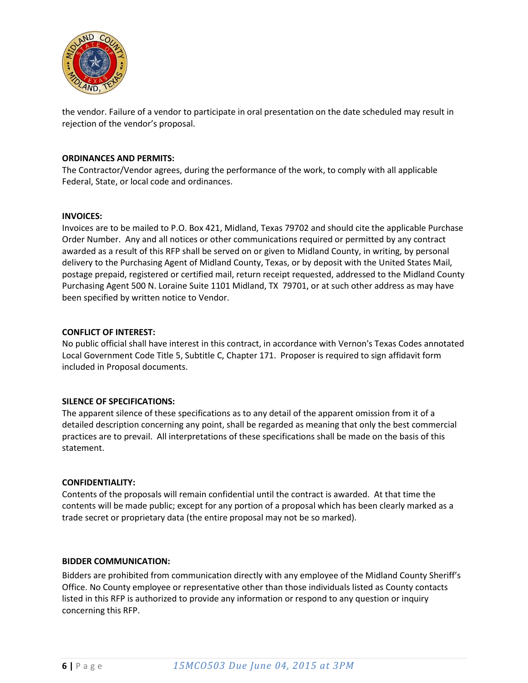

the vendor. Failure of a vendor to participate in oral presentation on the date scheduled may result in rejection of the vendor's proposal.

#### **ORDINANCES AND PERMITS:**

The Contractor/Vendor agrees, during the performance of the work, to comply with all applicable Federal, State, or local code and ordinances.

#### **INVOICES:**

Invoices are to be mailed to P.O. Box 421, Midland, Texas 79702 and should cite the applicable Purchase Order Number. Any and all notices or other communications required or permitted by any contract awarded as a result of this RFP shall be served on or given to Midland County, in writing, by personal delivery to the Purchasing Agent of Midland County, Texas, or by deposit with the United States Mail, postage prepaid, registered or certified mail, return receipt requested, addressed to the Midland County Purchasing Agent 500 N. Loraine Suite 1101 Midland, TX 79701, or at such other address as may have been specified by written notice to Vendor.

#### **CONFLICT OF INTEREST:**

No public official shall have interest in this contract, in accordance with Vernon's Texas Codes annotated Local Government Code Title 5, Subtitle C, Chapter 171. Proposer is required to sign affidavit form included in Proposal documents.

#### **SILENCE OF SPECIFICATIONS:**

The apparent silence of these specifications as to any detail of the apparent omission from it of a detailed description concerning any point, shall be regarded as meaning that only the best commercial practices are to prevail. All interpretations of these specifications shall be made on the basis of this statement.

#### **CONFIDENTIALITY:**

Contents of the proposals will remain confidential until the contract is awarded. At that time the contents will be made public; except for any portion of a proposal which has been clearly marked as a trade secret or proprietary data (the entire proposal may not be so marked).

#### **BIDDER COMMUNICATION:**

Bidders are prohibited from communication directly with any employee of the Midland County Sheriff's Office. No County employee or representative other than those individuals listed as County contacts listed in this RFP is authorized to provide any information or respond to any question or inquiry concerning this RFP.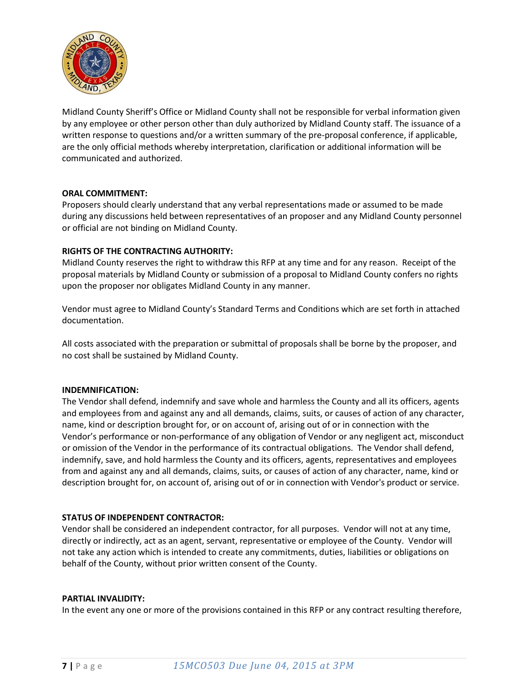

Midland County Sheriff's Office or Midland County shall not be responsible for verbal information given by any employee or other person other than duly authorized by Midland County staff. The issuance of a written response to questions and/or a written summary of the pre-proposal conference, if applicable, are the only official methods whereby interpretation, clarification or additional information will be communicated and authorized.

#### **ORAL COMMITMENT:**

Proposers should clearly understand that any verbal representations made or assumed to be made during any discussions held between representatives of an proposer and any Midland County personnel or official are not binding on Midland County.

#### **RIGHTS OF THE CONTRACTING AUTHORITY:**

Midland County reserves the right to withdraw this RFP at any time and for any reason. Receipt of the proposal materials by Midland County or submission of a proposal to Midland County confers no rights upon the proposer nor obligates Midland County in any manner.

Vendor must agree to Midland County's Standard Terms and Conditions which are set forth in attached documentation.

All costs associated with the preparation or submittal of proposals shall be borne by the proposer, and no cost shall be sustained by Midland County.

#### **INDEMNIFICATION:**

The Vendor shall defend, indemnify and save whole and harmless the County and all its officers, agents and employees from and against any and all demands, claims, suits, or causes of action of any character, name, kind or description brought for, or on account of, arising out of or in connection with the Vendor's performance or non-performance of any obligation of Vendor or any negligent act, misconduct or omission of the Vendor in the performance of its contractual obligations. The Vendor shall defend, indemnify, save, and hold harmless the County and its officers, agents, representatives and employees from and against any and all demands, claims, suits, or causes of action of any character, name, kind or description brought for, on account of, arising out of or in connection with Vendor's product or service.

#### **STATUS OF INDEPENDENT CONTRACTOR:**

Vendor shall be considered an independent contractor, for all purposes. Vendor will not at any time, directly or indirectly, act as an agent, servant, representative or employee of the County. Vendor will not take any action which is intended to create any commitments, duties, liabilities or obligations on behalf of the County, without prior written consent of the County.

#### **PARTIAL INVALIDITY:**

In the event any one or more of the provisions contained in this RFP or any contract resulting therefore,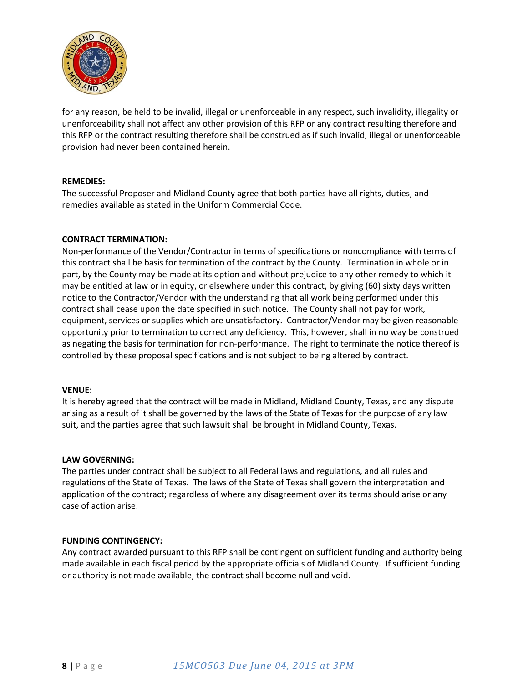

for any reason, be held to be invalid, illegal or unenforceable in any respect, such invalidity, illegality or unenforceability shall not affect any other provision of this RFP or any contract resulting therefore and this RFP or the contract resulting therefore shall be construed as if such invalid, illegal or unenforceable provision had never been contained herein.

#### **REMEDIES:**

The successful Proposer and Midland County agree that both parties have all rights, duties, and remedies available as stated in the Uniform Commercial Code.

#### **CONTRACT TERMINATION:**

Non-performance of the Vendor/Contractor in terms of specifications or noncompliance with terms of this contract shall be basis for termination of the contract by the County. Termination in whole or in part, by the County may be made at its option and without prejudice to any other remedy to which it may be entitled at law or in equity, or elsewhere under this contract, by giving (60) sixty days written notice to the Contractor/Vendor with the understanding that all work being performed under this contract shall cease upon the date specified in such notice. The County shall not pay for work, equipment, services or supplies which are unsatisfactory. Contractor/Vendor may be given reasonable opportunity prior to termination to correct any deficiency. This, however, shall in no way be construed as negating the basis for termination for non-performance. The right to terminate the notice thereof is controlled by these proposal specifications and is not subject to being altered by contract.

#### **VENUE:**

It is hereby agreed that the contract will be made in Midland, Midland County, Texas, and any dispute arising as a result of it shall be governed by the laws of the State of Texas for the purpose of any law suit, and the parties agree that such lawsuit shall be brought in Midland County, Texas.

#### **LAW GOVERNING:**

The parties under contract shall be subject to all Federal laws and regulations, and all rules and regulations of the State of Texas. The laws of the State of Texas shall govern the interpretation and application of the contract; regardless of where any disagreement over its terms should arise or any case of action arise.

#### **FUNDING CONTINGENCY:**

Any contract awarded pursuant to this RFP shall be contingent on sufficient funding and authority being made available in each fiscal period by the appropriate officials of Midland County. If sufficient funding or authority is not made available, the contract shall become null and void.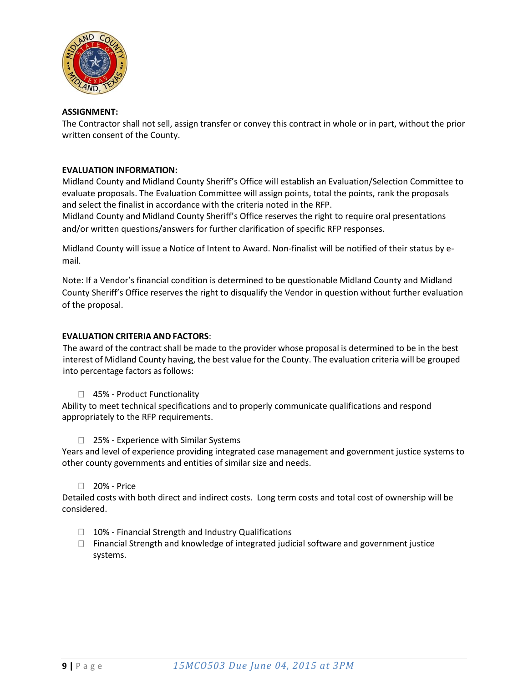

#### **ASSIGNMENT:**

The Contractor shall not sell, assign transfer or convey this contract in whole or in part, without the prior written consent of the County.

#### **EVALUATION INFORMATION:**

Midland County and Midland County Sheriff's Office will establish an Evaluation/Selection Committee to evaluate proposals. The Evaluation Committee will assign points, total the points, rank the proposals and select the finalist in accordance with the criteria noted in the RFP.

Midland County and Midland County Sheriff's Office reserves the right to require oral presentations and/or written questions/answers for further clarification of specific RFP responses.

Midland County will issue a Notice of Intent to Award. Non-finalist will be notified of their status by email.

Note: If a Vendor's financial condition is determined to be questionable Midland County and Midland County Sheriff's Office reserves the right to disqualify the Vendor in question without further evaluation of the proposal.

#### **EVALUATION CRITERIA AND FACTORS**:

The award of the contract shall be made to the provider whose proposal is determined to be in the best interest of Midland County having, the best value for the County. The evaluation criteria will be grouped into percentage factors as follows:

□ 45% - Product Functionality

Ability to meet technical specifications and to properly communicate qualifications and respond appropriately to the RFP requirements.

□ 25% - Experience with Similar Systems

Years and level of experience providing integrated case management and government justice systems to other county governments and entities of similar size and needs.

20% - Price

Detailed costs with both direct and indirect costs. Long term costs and total cost of ownership will be considered.

- $\Box$  10% Financial Strength and Industry Qualifications
- $\Box$  Financial Strength and knowledge of integrated judicial software and government justice systems.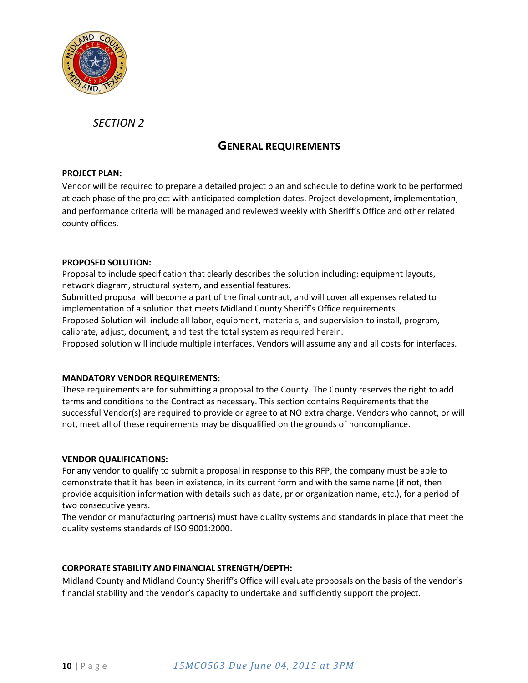

*SECTION 2*

### **GENERAL REQUIREMENTS**

#### **PROJECT PLAN:**

Vendor will be required to prepare a detailed project plan and schedule to define work to be performed at each phase of the project with anticipated completion dates. Project development, implementation, and performance criteria will be managed and reviewed weekly with Sheriff's Office and other related county offices.

#### **PROPOSED SOLUTION:**

Proposal to include specification that clearly describes the solution including: equipment layouts, network diagram, structural system, and essential features.

Submitted proposal will become a part of the final contract, and will cover all expenses related to implementation of a solution that meets Midland County Sheriff's Office requirements.

Proposed Solution will include all labor, equipment, materials, and supervision to install, program, calibrate, adjust, document, and test the total system as required herein.

Proposed solution will include multiple interfaces. Vendors will assume any and all costs for interfaces.

#### **MANDATORY VENDOR REQUIREMENTS:**

These requirements are for submitting a proposal to the County. The County reserves the right to add terms and conditions to the Contract as necessary. This section contains Requirements that the successful Vendor(s) are required to provide or agree to at NO extra charge. Vendors who cannot, or will not, meet all of these requirements may be disqualified on the grounds of noncompliance.

#### **VENDOR QUALIFICATIONS:**

For any vendor to qualify to submit a proposal in response to this RFP, the company must be able to demonstrate that it has been in existence, in its current form and with the same name (if not, then provide acquisition information with details such as date, prior organization name, etc.), for a period of two consecutive years.

The vendor or manufacturing partner(s) must have quality systems and standards in place that meet the quality systems standards of ISO 9001:2000.

#### **CORPORATE STABILITY AND FINANCIAL STRENGTH/DEPTH:**

Midland County and Midland County Sheriff's Office will evaluate proposals on the basis of the vendor's financial stability and the vendor's capacity to undertake and sufficiently support the project.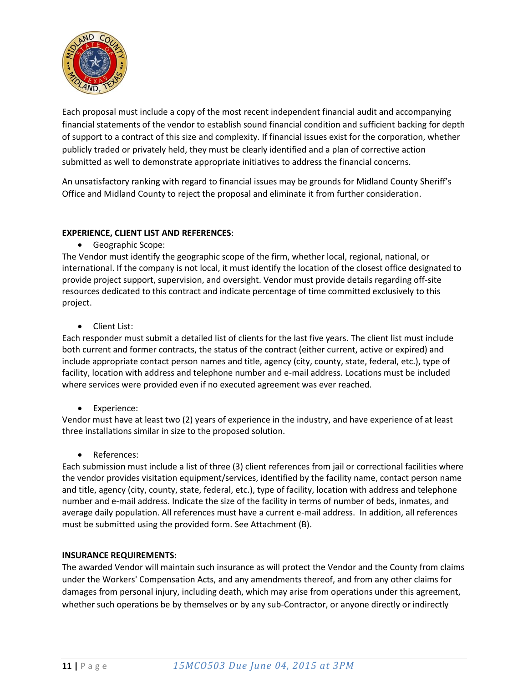

Each proposal must include a copy of the most recent independent financial audit and accompanying financial statements of the vendor to establish sound financial condition and sufficient backing for depth of support to a contract of this size and complexity. If financial issues exist for the corporation, whether publicly traded or privately held, they must be clearly identified and a plan of corrective action submitted as well to demonstrate appropriate initiatives to address the financial concerns.

An unsatisfactory ranking with regard to financial issues may be grounds for Midland County Sheriff's Office and Midland County to reject the proposal and eliminate it from further consideration.

#### **EXPERIENCE, CLIENT LIST AND REFERENCES**:

• Geographic Scope:

The Vendor must identify the geographic scope of the firm, whether local, regional, national, or international. If the company is not local, it must identify the location of the closest office designated to provide project support, supervision, and oversight. Vendor must provide details regarding off-site resources dedicated to this contract and indicate percentage of time committed exclusively to this project.

• Client List:

Each responder must submit a detailed list of clients for the last five years. The client list must include both current and former contracts, the status of the contract (either current, active or expired) and include appropriate contact person names and title, agency (city, county, state, federal, etc.), type of facility, location with address and telephone number and e-mail address. Locations must be included where services were provided even if no executed agreement was ever reached.

Experience:

Vendor must have at least two (2) years of experience in the industry, and have experience of at least three installations similar in size to the proposed solution.

• References:

Each submission must include a list of three (3) client references from jail or correctional facilities where the vendor provides visitation equipment/services, identified by the facility name, contact person name and title, agency (city, county, state, federal, etc.), type of facility, location with address and telephone number and e-mail address. Indicate the size of the facility in terms of number of beds, inmates, and average daily population. All references must have a current e-mail address. In addition, all references must be submitted using the provided form. See Attachment (B).

#### **INSURANCE REQUIREMENTS:**

The awarded Vendor will maintain such insurance as will protect the Vendor and the County from claims under the Workers' Compensation Acts, and any amendments thereof, and from any other claims for damages from personal injury, including death, which may arise from operations under this agreement, whether such operations be by themselves or by any sub-Contractor, or anyone directly or indirectly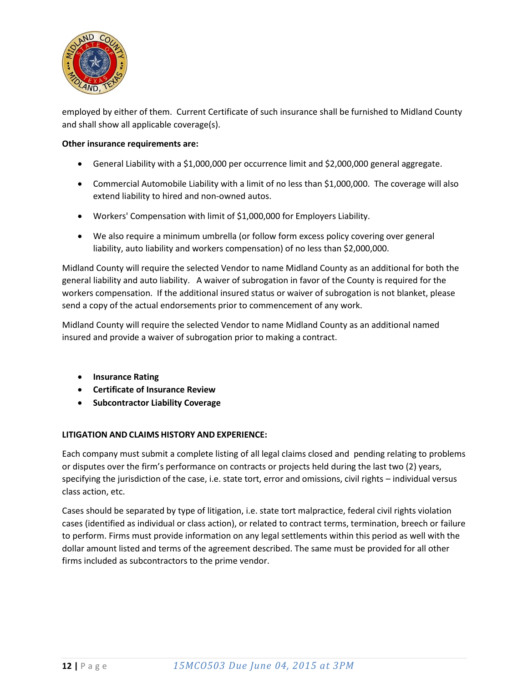

employed by either of them. Current Certificate of such insurance shall be furnished to Midland County and shall show all applicable coverage(s).

#### **Other insurance requirements are:**

- General Liability with a \$1,000,000 per occurrence limit and \$2,000,000 general aggregate.
- Commercial Automobile Liability with a limit of no less than \$1,000,000. The coverage will also extend liability to hired and non-owned autos.
- Workers' Compensation with limit of \$1,000,000 for Employers Liability.
- We also require a minimum umbrella (or follow form excess policy covering over general liability, auto liability and workers compensation) of no less than \$2,000,000.

Midland County will require the selected Vendor to name Midland County as an additional for both the general liability and auto liability. A waiver of subrogation in favor of the County is required for the workers compensation. If the additional insured status or waiver of subrogation is not blanket, please send a copy of the actual endorsements prior to commencement of any work.

Midland County will require the selected Vendor to name Midland County as an additional named insured and provide a waiver of subrogation prior to making a contract.

- **Insurance Rating**
- **Certificate of Insurance Review**
- **•** Subcontractor Liability Coverage

#### **LITIGATION AND CLAIMS HISTORY AND EXPERIENCE:**

Each company must submit a complete listing of all legal claims closed and pending relating to problems or disputes over the firm's performance on contracts or projects held during the last two (2) years, specifying the jurisdiction of the case, i.e. state tort, error and omissions, civil rights – individual versus class action, etc.

Cases should be separated by type of litigation, i.e. state tort malpractice, federal civil rights violation cases (identified as individual or class action), or related to contract terms, termination, breech or failure to perform. Firms must provide information on any legal settlements within this period as well with the dollar amount listed and terms of the agreement described. The same must be provided for all other firms included as subcontractors to the prime vendor.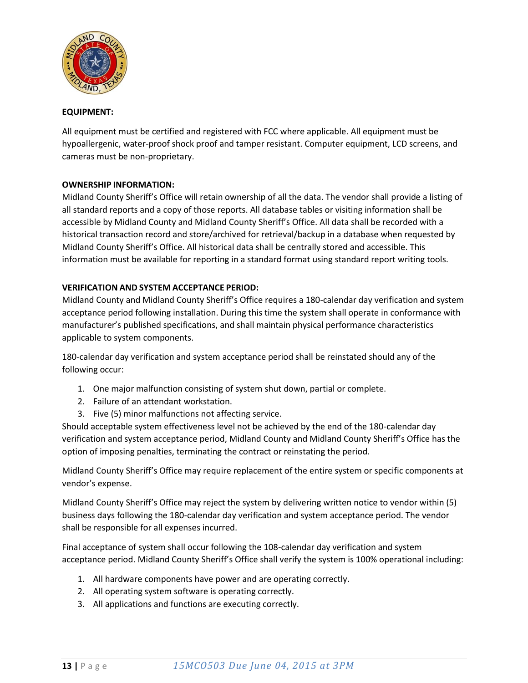

#### **EQUIPMENT:**

All equipment must be certified and registered with FCC where applicable. All equipment must be hypoallergenic, water-proof shock proof and tamper resistant. Computer equipment, LCD screens, and cameras must be non-proprietary.

#### **OWNERSHIP INFORMATION:**

Midland County Sheriff's Office will retain ownership of all the data. The vendor shall provide a listing of all standard reports and a copy of those reports. All database tables or visiting information shall be accessible by Midland County and Midland County Sheriff's Office. All data shall be recorded with a historical transaction record and store/archived for retrieval/backup in a database when requested by Midland County Sheriff's Office. All historical data shall be centrally stored and accessible. This information must be available for reporting in a standard format using standard report writing tools.

#### **VERIFICATION AND SYSTEM ACCEPTANCE PERIOD:**

Midland County and Midland County Sheriff's Office requires a 180-calendar day verification and system acceptance period following installation. During this time the system shall operate in conformance with manufacturer's published specifications, and shall maintain physical performance characteristics applicable to system components.

180-calendar day verification and system acceptance period shall be reinstated should any of the following occur:

- 1. One major malfunction consisting of system shut down, partial or complete.
- 2. Failure of an attendant workstation.
- 3. Five (5) minor malfunctions not affecting service.

Should acceptable system effectiveness level not be achieved by the end of the 180-calendar day verification and system acceptance period, Midland County and Midland County Sheriff's Office has the option of imposing penalties, terminating the contract or reinstating the period.

Midland County Sheriff's Office may require replacement of the entire system or specific components at vendor's expense.

Midland County Sheriff's Office may reject the system by delivering written notice to vendor within (5) business days following the 180-calendar day verification and system acceptance period. The vendor shall be responsible for all expenses incurred.

Final acceptance of system shall occur following the 108-calendar day verification and system acceptance period. Midland County Sheriff's Office shall verify the system is 100% operational including:

- 1. All hardware components have power and are operating correctly.
- 2. All operating system software is operating correctly.
- 3. All applications and functions are executing correctly.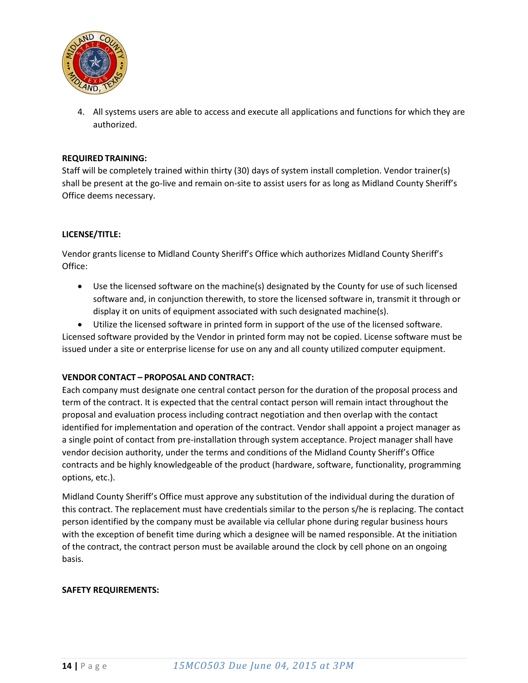

4. All systems users are able to access and execute all applications and functions for which they are authorized.

#### **REQUIRED TRAINING:**

Staff will be completely trained within thirty (30) days of system install completion. Vendor trainer(s) shall be present at the go-live and remain on-site to assist users for as long as Midland County Sheriff's Office deems necessary.

#### **LICENSE/TITLE:**

Vendor grants license to Midland County Sheriff's Office which authorizes Midland County Sheriff's Office:

- Use the licensed software on the machine(s) designated by the County for use of such licensed software and, in conjunction therewith, to store the licensed software in, transmit it through or display it on units of equipment associated with such designated machine(s).
- Utilize the licensed software in printed form in support of the use of the licensed software.

Licensed software provided by the Vendor in printed form may not be copied. License software must be issued under a site or enterprise license for use on any and all county utilized computer equipment.

#### **VENDOR CONTACT – PROPOSAL AND CONTRACT:**

Each company must designate one central contact person for the duration of the proposal process and term of the contract. It is expected that the central contact person will remain intact throughout the proposal and evaluation process including contract negotiation and then overlap with the contact identified for implementation and operation of the contract. Vendor shall appoint a project manager as a single point of contact from pre-installation through system acceptance. Project manager shall have vendor decision authority, under the terms and conditions of the Midland County Sheriff's Office contracts and be highly knowledgeable of the product (hardware, software, functionality, programming options, etc.).

Midland County Sheriff's Office must approve any substitution of the individual during the duration of this contract. The replacement must have credentials similar to the person s/he is replacing. The contact person identified by the company must be available via cellular phone during regular business hours with the exception of benefit time during which a designee will be named responsible. At the initiation of the contract, the contract person must be available around the clock by cell phone on an ongoing basis.

#### **SAFETY REQUIREMENTS:**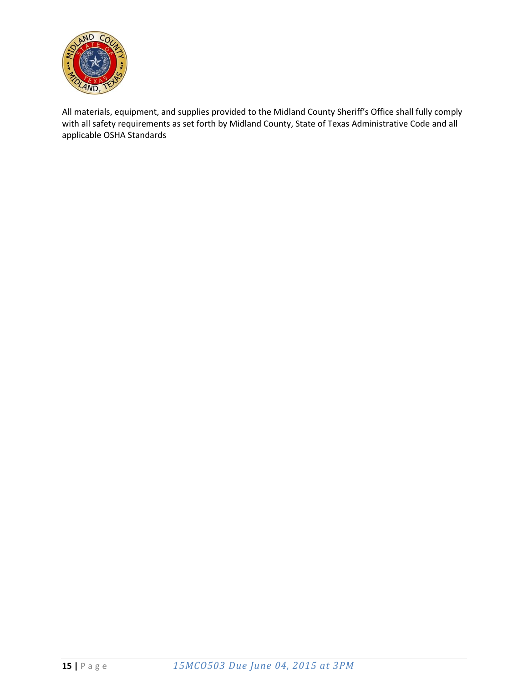

All materials, equipment, and supplies provided to the Midland County Sheriff's Office shall fully comply with all safety requirements as set forth by Midland County, State of Texas Administrative Code and all applicable OSHA Standards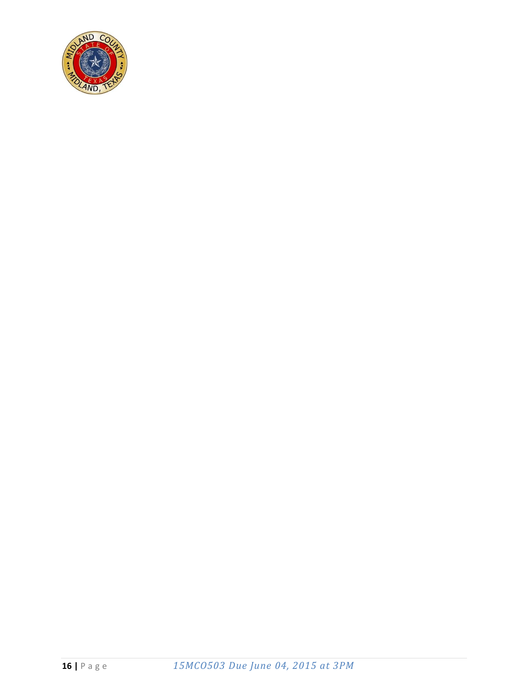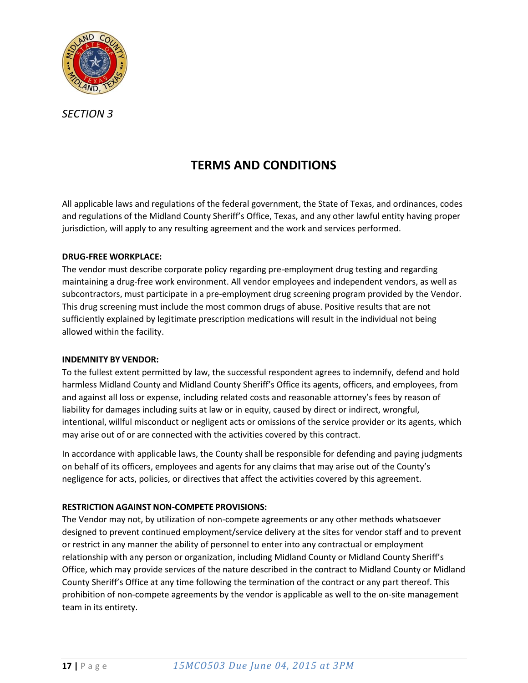

*SECTION 3*

### **TERMS AND CONDITIONS**

All applicable laws and regulations of the federal government, the State of Texas, and ordinances, codes and regulations of the Midland County Sheriff's Office, Texas, and any other lawful entity having proper jurisdiction, will apply to any resulting agreement and the work and services performed.

#### **DRUG-FREE WORKPLACE:**

The vendor must describe corporate policy regarding pre-employment drug testing and regarding maintaining a drug-free work environment. All vendor employees and independent vendors, as well as subcontractors, must participate in a pre-employment drug screening program provided by the Vendor. This drug screening must include the most common drugs of abuse. Positive results that are not sufficiently explained by legitimate prescription medications will result in the individual not being allowed within the facility.

#### **INDEMNITY BY VENDOR:**

To the fullest extent permitted by law, the successful respondent agrees to indemnify, defend and hold harmless Midland County and Midland County Sheriff's Office its agents, officers, and employees, from and against all loss or expense, including related costs and reasonable attorney's fees by reason of liability for damages including suits at law or in equity, caused by direct or indirect, wrongful, intentional, willful misconduct or negligent acts or omissions of the service provider or its agents, which may arise out of or are connected with the activities covered by this contract.

In accordance with applicable laws, the County shall be responsible for defending and paying judgments on behalf of its officers, employees and agents for any claims that may arise out of the County's negligence for acts, policies, or directives that affect the activities covered by this agreement.

#### **RESTRICTION AGAINST NON-COMPETE PROVISIONS:**

The Vendor may not, by utilization of non-compete agreements or any other methods whatsoever designed to prevent continued employment/service delivery at the sites for vendor staff and to prevent or restrict in any manner the ability of personnel to enter into any contractual or employment relationship with any person or organization, including Midland County or Midland County Sheriff's Office, which may provide services of the nature described in the contract to Midland County or Midland County Sheriff's Office at any time following the termination of the contract or any part thereof. This prohibition of non-compete agreements by the vendor is applicable as well to the on-site management team in its entirety.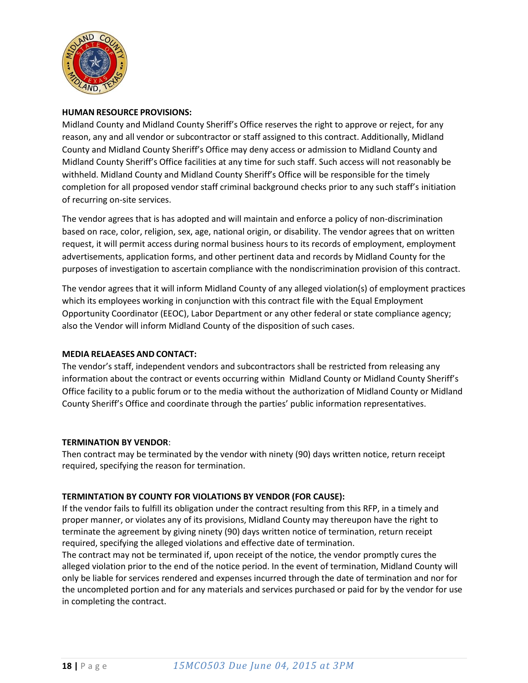

#### **HUMAN RESOURCE PROVISIONS:**

Midland County and Midland County Sheriff's Office reserves the right to approve or reject, for any reason, any and all vendor or subcontractor or staff assigned to this contract. Additionally, Midland County and Midland County Sheriff's Office may deny access or admission to Midland County and Midland County Sheriff's Office facilities at any time for such staff. Such access will not reasonably be withheld. Midland County and Midland County Sheriff's Office will be responsible for the timely completion for all proposed vendor staff criminal background checks prior to any such staff's initiation of recurring on-site services.

The vendor agrees that is has adopted and will maintain and enforce a policy of non-discrimination based on race, color, religion, sex, age, national origin, or disability. The vendor agrees that on written request, it will permit access during normal business hours to its records of employment, employment advertisements, application forms, and other pertinent data and records by Midland County for the purposes of investigation to ascertain compliance with the nondiscrimination provision of this contract.

The vendor agrees that it will inform Midland County of any alleged violation(s) of employment practices which its employees working in conjunction with this contract file with the Equal Employment Opportunity Coordinator (EEOC), Labor Department or any other federal or state compliance agency; also the Vendor will inform Midland County of the disposition of such cases.

#### **MEDIA RELAEASES AND CONTACT:**

The vendor's staff, independent vendors and subcontractors shall be restricted from releasing any information about the contract or events occurring within Midland County or Midland County Sheriff's Office facility to a public forum or to the media without the authorization of Midland County or Midland County Sheriff's Office and coordinate through the parties' public information representatives.

#### **TERMINATION BY VENDOR**:

Then contract may be terminated by the vendor with ninety (90) days written notice, return receipt required, specifying the reason for termination.

#### **TERMINTATION BY COUNTY FOR VIOLATIONS BY VENDOR (FOR CAUSE):**

If the vendor fails to fulfill its obligation under the contract resulting from this RFP, in a timely and proper manner, or violates any of its provisions, Midland County may thereupon have the right to terminate the agreement by giving ninety (90) days written notice of termination, return receipt required, specifying the alleged violations and effective date of termination.

The contract may not be terminated if, upon receipt of the notice, the vendor promptly cures the alleged violation prior to the end of the notice period. In the event of termination, Midland County will only be liable for services rendered and expenses incurred through the date of termination and nor for the uncompleted portion and for any materials and services purchased or paid for by the vendor for use in completing the contract.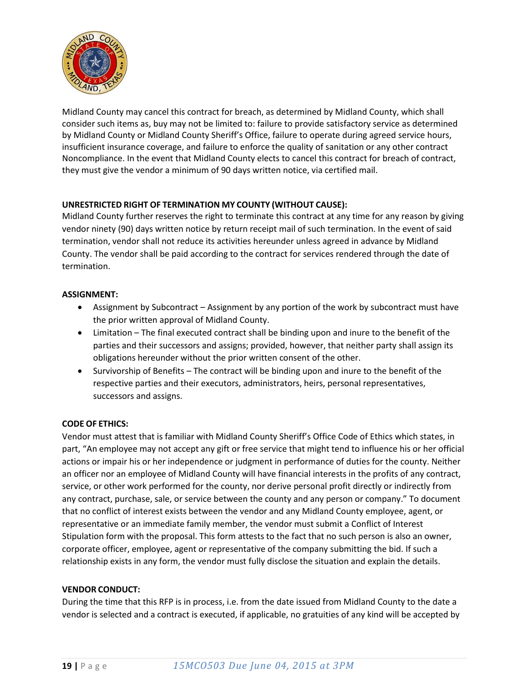

Midland County may cancel this contract for breach, as determined by Midland County, which shall consider such items as, buy may not be limited to: failure to provide satisfactory service as determined by Midland County or Midland County Sheriff's Office, failure to operate during agreed service hours, insufficient insurance coverage, and failure to enforce the quality of sanitation or any other contract Noncompliance. In the event that Midland County elects to cancel this contract for breach of contract, they must give the vendor a minimum of 90 days written notice, via certified mail.

#### **UNRESTRICTED RIGHT OF TERMINATION MY COUNTY (WITHOUT CAUSE):**

Midland County further reserves the right to terminate this contract at any time for any reason by giving vendor ninety (90) days written notice by return receipt mail of such termination. In the event of said termination, vendor shall not reduce its activities hereunder unless agreed in advance by Midland County. The vendor shall be paid according to the contract for services rendered through the date of termination.

#### **ASSIGNMENT:**

- Assignment by Subcontract Assignment by any portion of the work by subcontract must have the prior written approval of Midland County.
- Limitation The final executed contract shall be binding upon and inure to the benefit of the parties and their successors and assigns; provided, however, that neither party shall assign its obligations hereunder without the prior written consent of the other.
- Survivorship of Benefits The contract will be binding upon and inure to the benefit of the respective parties and their executors, administrators, heirs, personal representatives, successors and assigns.

#### **CODE OF ETHICS:**

Vendor must attest that is familiar with Midland County Sheriff's Office Code of Ethics which states, in part, "An employee may not accept any gift or free service that might tend to influence his or her official actions or impair his or her independence or judgment in performance of duties for the county. Neither an officer nor an employee of Midland County will have financial interests in the profits of any contract, service, or other work performed for the county, nor derive personal profit directly or indirectly from any contract, purchase, sale, or service between the county and any person or company." To document that no conflict of interest exists between the vendor and any Midland County employee, agent, or representative or an immediate family member, the vendor must submit a Conflict of Interest Stipulation form with the proposal. This form attests to the fact that no such person is also an owner, corporate officer, employee, agent or representative of the company submitting the bid. If such a relationship exists in any form, the vendor must fully disclose the situation and explain the details.

#### **VENDOR CONDUCT:**

During the time that this RFP is in process, i.e. from the date issued from Midland County to the date a vendor is selected and a contract is executed, if applicable, no gratuities of any kind will be accepted by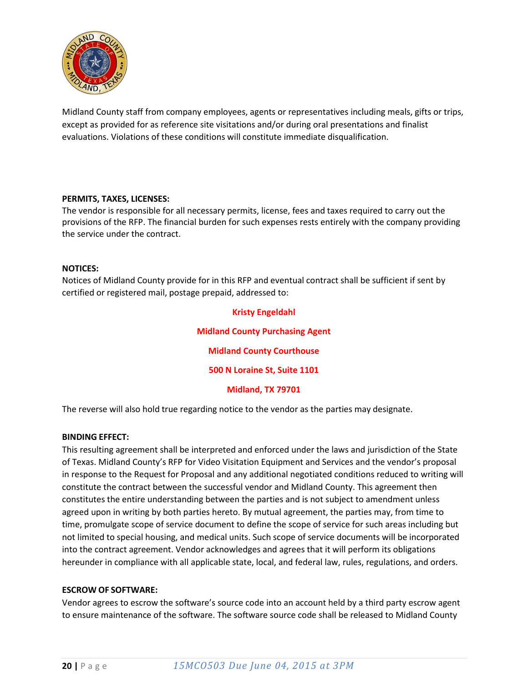

Midland County staff from company employees, agents or representatives including meals, gifts or trips, except as provided for as reference site visitations and/or during oral presentations and finalist evaluations. Violations of these conditions will constitute immediate disqualification.

#### **PERMITS, TAXES, LICENSES:**

The vendor is responsible for all necessary permits, license, fees and taxes required to carry out the provisions of the RFP. The financial burden for such expenses rests entirely with the company providing the service under the contract.

#### **NOTICES:**

Notices of Midland County provide for in this RFP and eventual contract shall be sufficient if sent by certified or registered mail, postage prepaid, addressed to:

## **Kristy Engeldahl Midland County Purchasing Agent Midland County Courthouse 500 N Loraine St, Suite 1101 Midland, TX 79701**

The reverse will also hold true regarding notice to the vendor as the parties may designate.

#### **BINDING EFFECT:**

This resulting agreement shall be interpreted and enforced under the laws and jurisdiction of the State of Texas. Midland County's RFP for Video Visitation Equipment and Services and the vendor's proposal in response to the Request for Proposal and any additional negotiated conditions reduced to writing will constitute the contract between the successful vendor and Midland County. This agreement then constitutes the entire understanding between the parties and is not subject to amendment unless agreed upon in writing by both parties hereto. By mutual agreement, the parties may, from time to time, promulgate scope of service document to define the scope of service for such areas including but not limited to special housing, and medical units. Such scope of service documents will be incorporated into the contract agreement. Vendor acknowledges and agrees that it will perform its obligations hereunder in compliance with all applicable state, local, and federal law, rules, regulations, and orders.

#### **ESCROW OF SOFTWARE:**

Vendor agrees to escrow the software's source code into an account held by a third party escrow agent to ensure maintenance of the software. The software source code shall be released to Midland County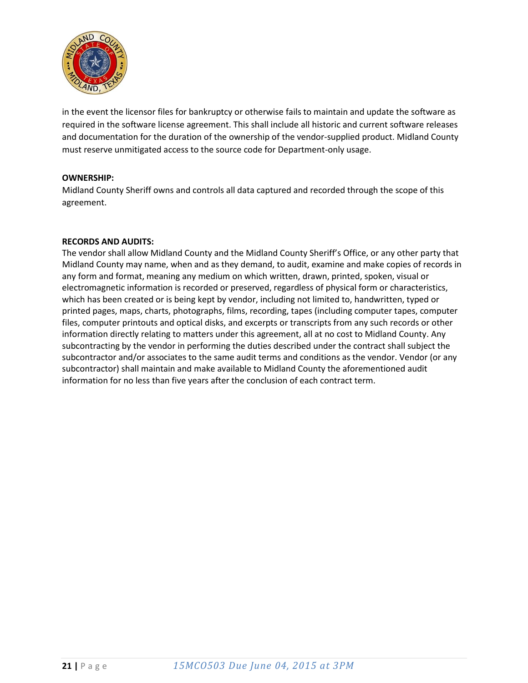

in the event the licensor files for bankruptcy or otherwise fails to maintain and update the software as required in the software license agreement. This shall include all historic and current software releases and documentation for the duration of the ownership of the vendor-supplied product. Midland County must reserve unmitigated access to the source code for Department-only usage.

#### **OWNERSHIP:**

Midland County Sheriff owns and controls all data captured and recorded through the scope of this agreement.

#### **RECORDS AND AUDITS:**

The vendor shall allow Midland County and the Midland County Sheriff's Office, or any other party that Midland County may name, when and as they demand, to audit, examine and make copies of records in any form and format, meaning any medium on which written, drawn, printed, spoken, visual or electromagnetic information is recorded or preserved, regardless of physical form or characteristics, which has been created or is being kept by vendor, including not limited to, handwritten, typed or printed pages, maps, charts, photographs, films, recording, tapes (including computer tapes, computer files, computer printouts and optical disks, and excerpts or transcripts from any such records or other information directly relating to matters under this agreement, all at no cost to Midland County. Any subcontracting by the vendor in performing the duties described under the contract shall subject the subcontractor and/or associates to the same audit terms and conditions as the vendor. Vendor (or any subcontractor) shall maintain and make available to Midland County the aforementioned audit information for no less than five years after the conclusion of each contract term.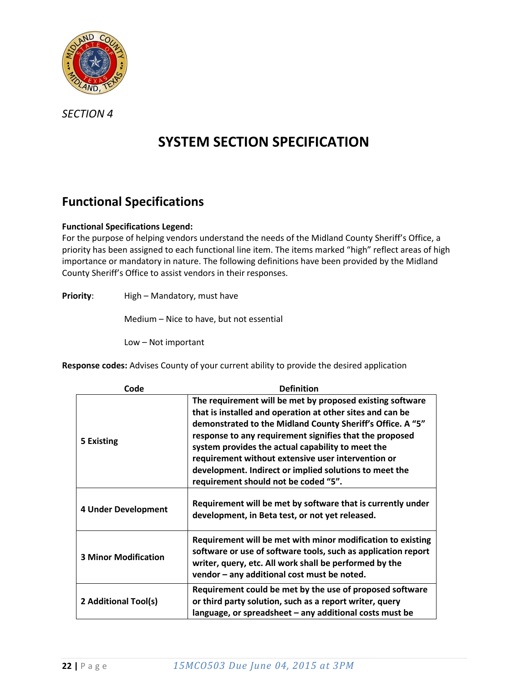

*SECTION 4*

## **SYSTEM SECTION SPECIFICATION**

### **Functional Specifications**

#### **Functional Specifications Legend:**

For the purpose of helping vendors understand the needs of the Midland County Sheriff's Office, a priority has been assigned to each functional line item. The items marked "high" reflect areas of high importance or mandatory in nature. The following definitions have been provided by the Midland County Sheriff's Office to assist vendors in their responses.

**Priority:** High – Mandatory, must have

Medium – Nice to have, but not essential

Low – Not important

**Response codes:** Advises County of your current ability to provide the desired application

| Code                        | <b>Definition</b>                                                                                                                                                                                                                                                                                                                                                                                                                                            |
|-----------------------------|--------------------------------------------------------------------------------------------------------------------------------------------------------------------------------------------------------------------------------------------------------------------------------------------------------------------------------------------------------------------------------------------------------------------------------------------------------------|
| 5 Existing                  | The requirement will be met by proposed existing software<br>that is installed and operation at other sites and can be<br>demonstrated to the Midland County Sheriff's Office. A "5"<br>response to any requirement signifies that the proposed<br>system provides the actual capability to meet the<br>requirement without extensive user intervention or<br>development. Indirect or implied solutions to meet the<br>requirement should not be coded "5". |
| 4 Under Development         | Requirement will be met by software that is currently under<br>development, in Beta test, or not yet released.                                                                                                                                                                                                                                                                                                                                               |
| <b>3 Minor Modification</b> | Requirement will be met with minor modification to existing<br>software or use of software tools, such as application report<br>writer, query, etc. All work shall be performed by the<br>vendor - any additional cost must be noted.                                                                                                                                                                                                                        |
| 2 Additional Tool(s)        | Requirement could be met by the use of proposed software<br>or third party solution, such as a report writer, query<br>language, or spreadsheet - any additional costs must be                                                                                                                                                                                                                                                                               |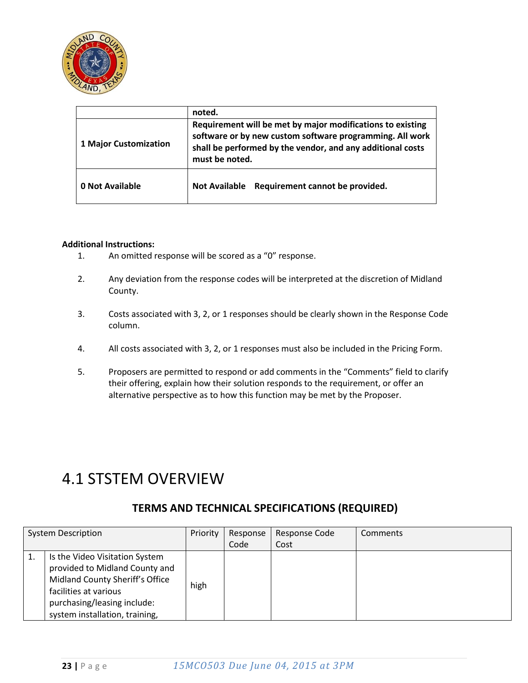

|                              | noted.                                                                                                                                                                                                 |
|------------------------------|--------------------------------------------------------------------------------------------------------------------------------------------------------------------------------------------------------|
| <b>1 Major Customization</b> | Requirement will be met by major modifications to existing<br>software or by new custom software programming. All work<br>shall be performed by the vendor, and any additional costs<br>must be noted. |
| 0 Not Available              | Requirement cannot be provided.<br><b>Not Available</b>                                                                                                                                                |

#### **Additional Instructions:**

- 1. An omitted response will be scored as a "0" response.
- 2. Any deviation from the response codes will be interpreted at the discretion of Midland County.
- 3. Costs associated with 3, 2, or 1 responses should be clearly shown in the Response Code column.
- 4. All costs associated with 3, 2, or 1 responses must also be included in the Pricing Form.
- 5. Proposers are permitted to respond or add comments in the "Comments" field to clarify their offering, explain how their solution responds to the requirement, or offer an alternative perspective as to how this function may be met by the Proposer.

### 4.1 STSTEM OVERVIEW

#### **TERMS AND TECHNICAL SPECIFICATIONS (REQUIRED)**

| <b>System Description</b> |                                                                                                                                                             | Priority | Response | Response Code | Comments |
|---------------------------|-------------------------------------------------------------------------------------------------------------------------------------------------------------|----------|----------|---------------|----------|
|                           | Is the Video Visitation System<br>provided to Midland County and<br>Midland County Sheriff's Office<br>facilities at various<br>purchasing/leasing include: | high     | Code     | Cost          |          |
|                           | system installation, training,                                                                                                                              |          |          |               |          |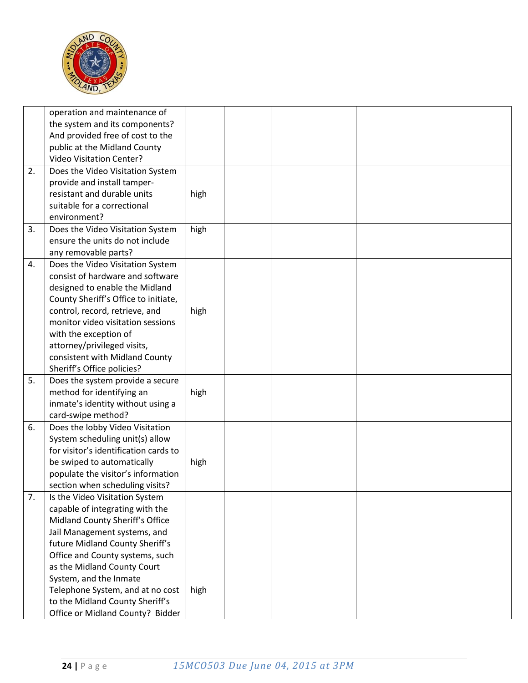

|    | operation and maintenance of          |      |  |  |
|----|---------------------------------------|------|--|--|
|    | the system and its components?        |      |  |  |
|    | And provided free of cost to the      |      |  |  |
|    | public at the Midland County          |      |  |  |
|    | <b>Video Visitation Center?</b>       |      |  |  |
| 2. | Does the Video Visitation System      |      |  |  |
|    | provide and install tamper-           |      |  |  |
|    | resistant and durable units           | high |  |  |
|    | suitable for a correctional           |      |  |  |
|    | environment?                          |      |  |  |
| 3. | Does the Video Visitation System      | high |  |  |
|    | ensure the units do not include       |      |  |  |
|    | any removable parts?                  |      |  |  |
| 4. | Does the Video Visitation System      |      |  |  |
|    | consist of hardware and software      |      |  |  |
|    | designed to enable the Midland        |      |  |  |
|    | County Sheriff's Office to initiate,  |      |  |  |
|    | control, record, retrieve, and        | high |  |  |
|    | monitor video visitation sessions     |      |  |  |
|    | with the exception of                 |      |  |  |
|    | attorney/privileged visits,           |      |  |  |
|    | consistent with Midland County        |      |  |  |
|    | Sheriff's Office policies?            |      |  |  |
| 5. | Does the system provide a secure      |      |  |  |
|    | method for identifying an             | high |  |  |
|    | inmate's identity without using a     |      |  |  |
|    | card-swipe method?                    |      |  |  |
| 6. | Does the lobby Video Visitation       |      |  |  |
|    | System scheduling unit(s) allow       |      |  |  |
|    | for visitor's identification cards to |      |  |  |
|    | be swiped to automatically            | high |  |  |
|    | populate the visitor's information    |      |  |  |
|    | section when scheduling visits?       |      |  |  |
| 7. | Is the Video Visitation System        |      |  |  |
|    | capable of integrating with the       |      |  |  |
|    | Midland County Sheriff's Office       |      |  |  |
|    | Jail Management systems, and          |      |  |  |
|    | future Midland County Sheriff's       |      |  |  |
|    | Office and County systems, such       |      |  |  |
|    | as the Midland County Court           |      |  |  |
|    | System, and the Inmate                |      |  |  |
|    | Telephone System, and at no cost      | high |  |  |
|    | to the Midland County Sheriff's       |      |  |  |
|    | Office or Midland County? Bidder      |      |  |  |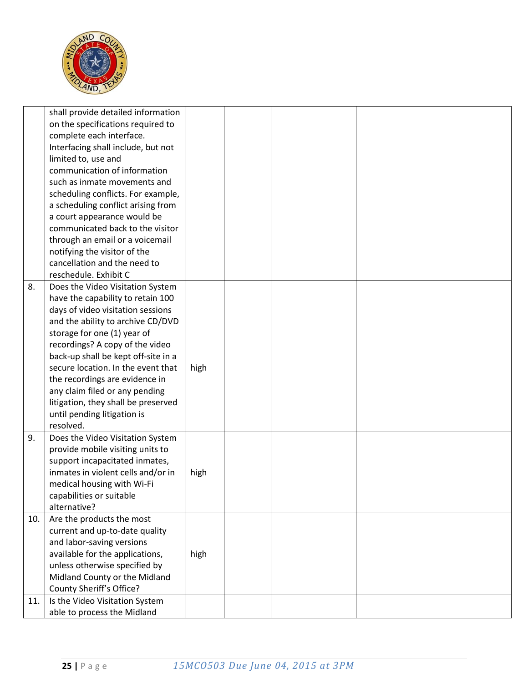

|     | shall provide detailed information  |      |  |  |
|-----|-------------------------------------|------|--|--|
|     | on the specifications required to   |      |  |  |
|     | complete each interface.            |      |  |  |
|     | Interfacing shall include, but not  |      |  |  |
|     | limited to, use and                 |      |  |  |
|     | communication of information        |      |  |  |
|     | such as inmate movements and        |      |  |  |
|     | scheduling conflicts. For example,  |      |  |  |
|     | a scheduling conflict arising from  |      |  |  |
|     | a court appearance would be         |      |  |  |
|     | communicated back to the visitor    |      |  |  |
|     | through an email or a voicemail     |      |  |  |
|     | notifying the visitor of the        |      |  |  |
|     | cancellation and the need to        |      |  |  |
|     | reschedule. Exhibit C               |      |  |  |
| 8.  | Does the Video Visitation System    |      |  |  |
|     | have the capability to retain 100   |      |  |  |
|     | days of video visitation sessions   |      |  |  |
|     | and the ability to archive CD/DVD   |      |  |  |
|     | storage for one (1) year of         |      |  |  |
|     | recordings? A copy of the video     |      |  |  |
|     | back-up shall be kept off-site in a |      |  |  |
|     | secure location. In the event that  | high |  |  |
|     | the recordings are evidence in      |      |  |  |
|     | any claim filed or any pending      |      |  |  |
|     | litigation, they shall be preserved |      |  |  |
|     | until pending litigation is         |      |  |  |
|     | resolved.                           |      |  |  |
| 9.  | Does the Video Visitation System    |      |  |  |
|     | provide mobile visiting units to    |      |  |  |
|     | support incapacitated inmates,      |      |  |  |
|     | inmates in violent cells and/or in  | high |  |  |
|     | medical housing with Wi-Fi          |      |  |  |
|     | capabilities or suitable            |      |  |  |
|     | alternative?                        |      |  |  |
| 10. | Are the products the most           |      |  |  |
|     | current and up-to-date quality      |      |  |  |
|     | and labor-saving versions           |      |  |  |
|     | available for the applications,     | high |  |  |
|     | unless otherwise specified by       |      |  |  |
|     | Midland County or the Midland       |      |  |  |
|     | County Sheriff's Office?            |      |  |  |
| 11. | Is the Video Visitation System      |      |  |  |
|     | able to process the Midland         |      |  |  |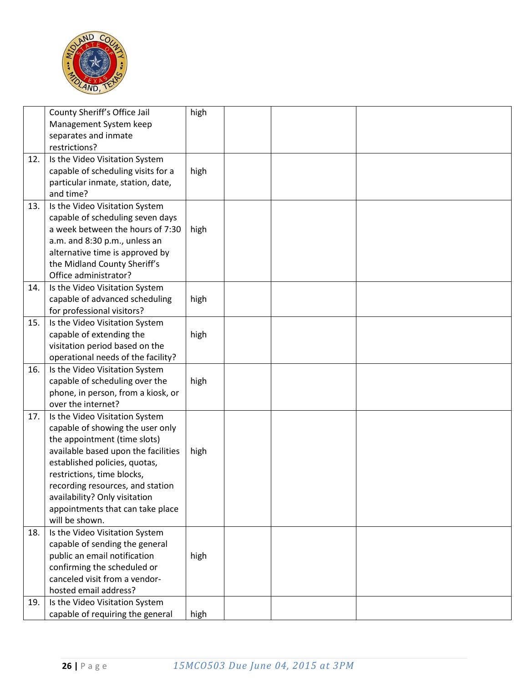

|     | County Sheriff's Office Jail        | high |  |  |
|-----|-------------------------------------|------|--|--|
|     | Management System keep              |      |  |  |
|     | separates and inmate                |      |  |  |
|     | restrictions?                       |      |  |  |
| 12. | Is the Video Visitation System      |      |  |  |
|     | capable of scheduling visits for a  | high |  |  |
|     | particular inmate, station, date,   |      |  |  |
|     | and time?                           |      |  |  |
| 13. | Is the Video Visitation System      |      |  |  |
|     | capable of scheduling seven days    |      |  |  |
|     | a week between the hours of 7:30    | high |  |  |
|     | a.m. and 8:30 p.m., unless an       |      |  |  |
|     | alternative time is approved by     |      |  |  |
|     | the Midland County Sheriff's        |      |  |  |
|     | Office administrator?               |      |  |  |
| 14. | Is the Video Visitation System      |      |  |  |
|     | capable of advanced scheduling      | high |  |  |
|     | for professional visitors?          |      |  |  |
| 15. | Is the Video Visitation System      |      |  |  |
|     | capable of extending the            | high |  |  |
|     | visitation period based on the      |      |  |  |
|     | operational needs of the facility?  |      |  |  |
| 16. | Is the Video Visitation System      |      |  |  |
|     | capable of scheduling over the      | high |  |  |
|     | phone, in person, from a kiosk, or  |      |  |  |
|     | over the internet?                  |      |  |  |
| 17. | Is the Video Visitation System      |      |  |  |
|     | capable of showing the user only    |      |  |  |
|     | the appointment (time slots)        |      |  |  |
|     | available based upon the facilities | high |  |  |
|     | established policies, quotas,       |      |  |  |
|     | restrictions, time blocks,          |      |  |  |
|     | recording resources, and station    |      |  |  |
|     | availability? Only visitation       |      |  |  |
|     | appointments that can take place    |      |  |  |
|     | will be shown.                      |      |  |  |
| 18. | Is the Video Visitation System      |      |  |  |
|     | capable of sending the general      |      |  |  |
|     | public an email notification        | high |  |  |
|     | confirming the scheduled or         |      |  |  |
|     | canceled visit from a vendor-       |      |  |  |
|     | hosted email address?               |      |  |  |
| 19. | Is the Video Visitation System      |      |  |  |
|     | capable of requiring the general    | high |  |  |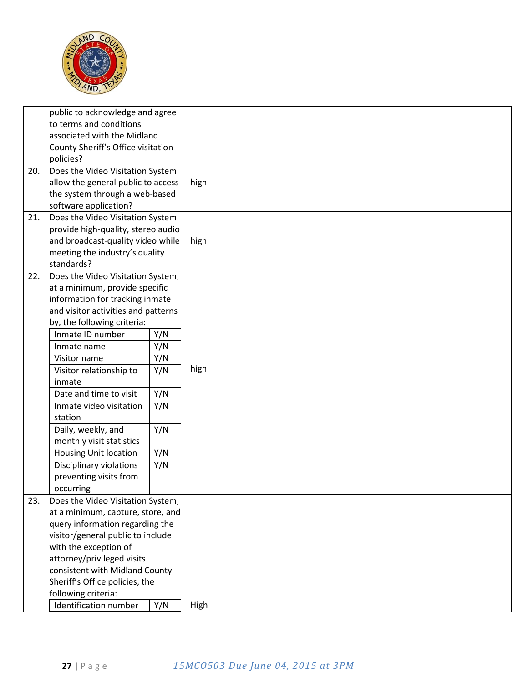

|     | public to acknowledge and agree     |     |      |  |  |
|-----|-------------------------------------|-----|------|--|--|
|     | to terms and conditions             |     |      |  |  |
|     | associated with the Midland         |     |      |  |  |
|     | County Sheriff's Office visitation  |     |      |  |  |
|     | policies?                           |     |      |  |  |
| 20. | Does the Video Visitation System    |     |      |  |  |
|     | allow the general public to access  |     | high |  |  |
|     | the system through a web-based      |     |      |  |  |
|     | software application?               |     |      |  |  |
| 21. | Does the Video Visitation System    |     |      |  |  |
|     | provide high-quality, stereo audio  |     |      |  |  |
|     | and broadcast-quality video while   |     | high |  |  |
|     | meeting the industry's quality      |     |      |  |  |
|     | standards?                          |     |      |  |  |
| 22. | Does the Video Visitation System,   |     |      |  |  |
|     | at a minimum, provide specific      |     |      |  |  |
|     | information for tracking inmate     |     |      |  |  |
|     | and visitor activities and patterns |     |      |  |  |
|     | by, the following criteria:         |     |      |  |  |
|     | Inmate ID number                    | Y/N |      |  |  |
|     | Inmate name                         | Y/N |      |  |  |
|     | Visitor name                        | Y/N |      |  |  |
|     | Visitor relationship to             | Y/N | high |  |  |
|     | inmate                              |     |      |  |  |
|     | Date and time to visit              | Y/N |      |  |  |
|     | Inmate video visitation             | Y/N |      |  |  |
|     | station                             |     |      |  |  |
|     | Daily, weekly, and                  | Y/N |      |  |  |
|     | monthly visit statistics            |     |      |  |  |
|     | <b>Housing Unit location</b>        | Y/N |      |  |  |
|     | Disciplinary violations             | Y/N |      |  |  |
|     | preventing visits from              |     |      |  |  |
|     | occurring                           |     |      |  |  |
| 23. | Does the Video Visitation System,   |     |      |  |  |
|     | at a minimum, capture, store, and   |     |      |  |  |
|     | query information regarding the     |     |      |  |  |
|     | visitor/general public to include   |     |      |  |  |
|     | with the exception of               |     |      |  |  |
|     | attorney/privileged visits          |     |      |  |  |
|     | consistent with Midland County      |     |      |  |  |
|     | Sheriff's Office policies, the      |     |      |  |  |
|     | following criteria:                 |     |      |  |  |
|     | Identification number               | Y/N | High |  |  |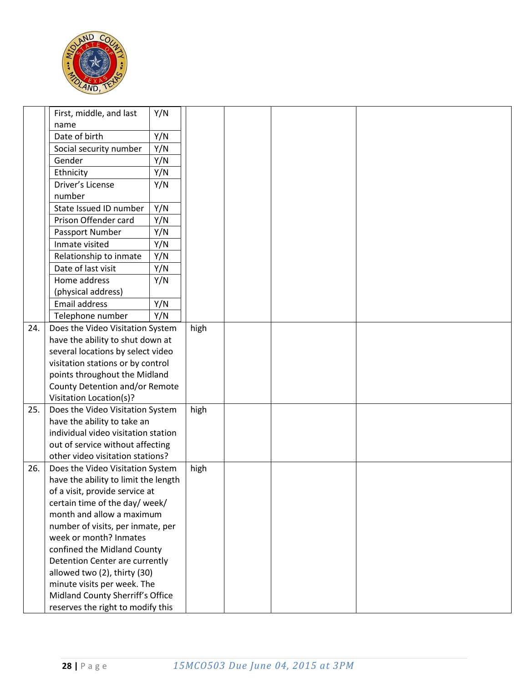

|     | First, middle, and last              | Y/N |      |  |  |
|-----|--------------------------------------|-----|------|--|--|
|     | name                                 |     |      |  |  |
|     | Date of birth                        | Y/N |      |  |  |
|     | Social security number               | Y/N |      |  |  |
|     | Gender                               | Y/N |      |  |  |
|     | Ethnicity                            | Y/N |      |  |  |
|     | Driver's License                     | Y/N |      |  |  |
|     | number                               |     |      |  |  |
|     | State Issued ID number               | Y/N |      |  |  |
|     | Prison Offender card                 | Y/N |      |  |  |
|     | Passport Number                      | Y/N |      |  |  |
|     | Inmate visited                       | Y/N |      |  |  |
|     | Relationship to inmate               | Y/N |      |  |  |
|     | Date of last visit                   | Y/N |      |  |  |
|     | Home address                         | Y/N |      |  |  |
|     | (physical address)                   |     |      |  |  |
|     | <b>Email address</b>                 | Y/N |      |  |  |
|     | Telephone number                     | Y/N |      |  |  |
| 24. | Does the Video Visitation System     |     | high |  |  |
|     | have the ability to shut down at     |     |      |  |  |
|     | several locations by select video    |     |      |  |  |
|     | visitation stations or by control    |     |      |  |  |
|     | points throughout the Midland        |     |      |  |  |
|     | County Detention and/or Remote       |     |      |  |  |
|     | Visitation Location(s)?              |     |      |  |  |
| 25. | Does the Video Visitation System     |     | high |  |  |
|     | have the ability to take an          |     |      |  |  |
|     | individual video visitation station  |     |      |  |  |
|     | out of service without affecting     |     |      |  |  |
|     | other video visitation stations?     |     |      |  |  |
| 26. | Does the Video Visitation System     |     | high |  |  |
|     | have the ability to limit the length |     |      |  |  |
|     | of a visit, provide service at       |     |      |  |  |
|     | certain time of the day/ week/       |     |      |  |  |
|     | month and allow a maximum            |     |      |  |  |
|     | number of visits, per inmate, per    |     |      |  |  |
|     | week or month? Inmates               |     |      |  |  |
|     | confined the Midland County          |     |      |  |  |
|     | Detention Center are currently       |     |      |  |  |
|     | allowed two (2), thirty (30)         |     |      |  |  |
|     | minute visits per week. The          |     |      |  |  |
|     | Midland County Sherriff's Office     |     |      |  |  |
|     | reserves the right to modify this    |     |      |  |  |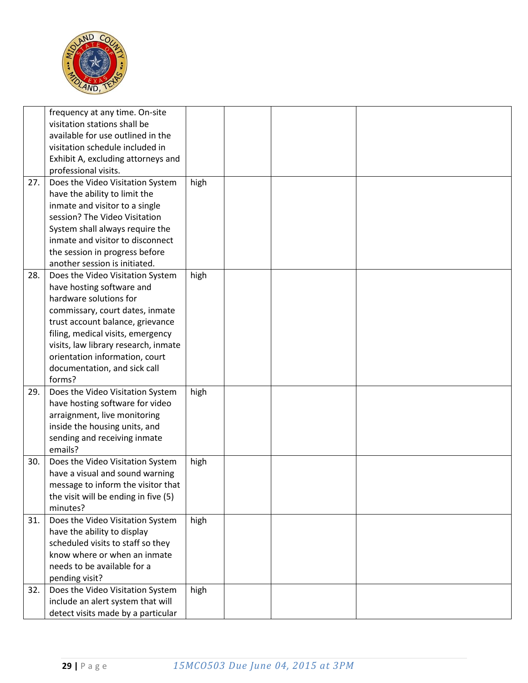

|     | frequency at any time. On-site       |      |  |  |
|-----|--------------------------------------|------|--|--|
|     | visitation stations shall be         |      |  |  |
|     | available for use outlined in the    |      |  |  |
|     | visitation schedule included in      |      |  |  |
|     | Exhibit A, excluding attorneys and   |      |  |  |
|     | professional visits.                 |      |  |  |
| 27. | Does the Video Visitation System     | high |  |  |
|     | have the ability to limit the        |      |  |  |
|     | inmate and visitor to a single       |      |  |  |
|     | session? The Video Visitation        |      |  |  |
|     | System shall always require the      |      |  |  |
|     | inmate and visitor to disconnect     |      |  |  |
|     | the session in progress before       |      |  |  |
|     | another session is initiated.        |      |  |  |
| 28. | Does the Video Visitation System     | high |  |  |
|     | have hosting software and            |      |  |  |
|     | hardware solutions for               |      |  |  |
|     | commissary, court dates, inmate      |      |  |  |
|     | trust account balance, grievance     |      |  |  |
|     | filing, medical visits, emergency    |      |  |  |
|     | visits, law library research, inmate |      |  |  |
|     | orientation information, court       |      |  |  |
|     | documentation, and sick call         |      |  |  |
|     | forms?                               |      |  |  |
| 29. | Does the Video Visitation System     | high |  |  |
|     | have hosting software for video      |      |  |  |
|     | arraignment, live monitoring         |      |  |  |
|     | inside the housing units, and        |      |  |  |
|     | sending and receiving inmate         |      |  |  |
|     | emails?                              |      |  |  |
| 30. | Does the Video Visitation System     | high |  |  |
|     | have a visual and sound warning      |      |  |  |
|     | message to inform the visitor that   |      |  |  |
|     | the visit will be ending in five (5) |      |  |  |
|     | minutes?                             |      |  |  |
| 31. | Does the Video Visitation System     | high |  |  |
|     | have the ability to display          |      |  |  |
|     | scheduled visits to staff so they    |      |  |  |
|     | know where or when an inmate         |      |  |  |
|     | needs to be available for a          |      |  |  |
|     | pending visit?                       |      |  |  |
| 32. | Does the Video Visitation System     | high |  |  |
|     | include an alert system that will    |      |  |  |
|     | detect visits made by a particular   |      |  |  |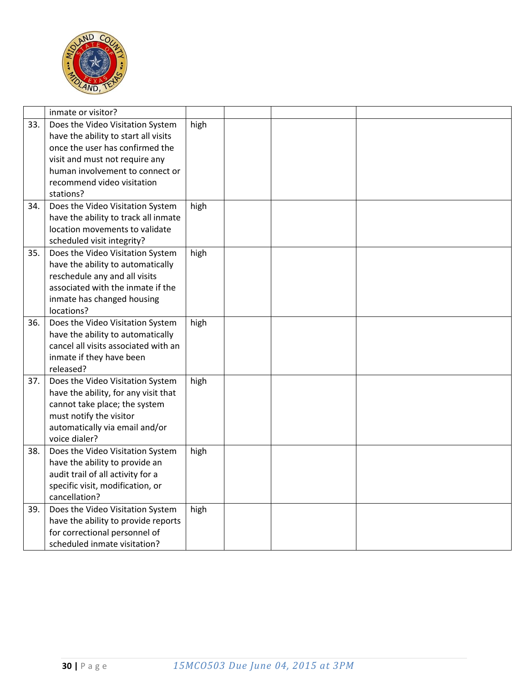

|     | inmate or visitor?                                                       |      |  |  |
|-----|--------------------------------------------------------------------------|------|--|--|
| 33. | Does the Video Visitation System<br>have the ability to start all visits | high |  |  |
|     | once the user has confirmed the<br>visit and must not require any        |      |  |  |
|     | human involvement to connect or                                          |      |  |  |
|     | recommend video visitation                                               |      |  |  |
|     | stations?                                                                |      |  |  |
| 34. | Does the Video Visitation System                                         | high |  |  |
|     | have the ability to track all inmate                                     |      |  |  |
|     | location movements to validate                                           |      |  |  |
|     | scheduled visit integrity?                                               |      |  |  |
| 35. | Does the Video Visitation System                                         | high |  |  |
|     | have the ability to automatically<br>reschedule any and all visits       |      |  |  |
|     | associated with the inmate if the                                        |      |  |  |
|     | inmate has changed housing                                               |      |  |  |
|     | locations?                                                               |      |  |  |
| 36. | Does the Video Visitation System                                         | high |  |  |
|     | have the ability to automatically                                        |      |  |  |
|     | cancel all visits associated with an                                     |      |  |  |
|     | inmate if they have been                                                 |      |  |  |
|     | released?                                                                |      |  |  |
| 37. | Does the Video Visitation System                                         | high |  |  |
|     | have the ability, for any visit that                                     |      |  |  |
|     | cannot take place; the system<br>must notify the visitor                 |      |  |  |
|     | automatically via email and/or                                           |      |  |  |
|     | voice dialer?                                                            |      |  |  |
| 38. | Does the Video Visitation System                                         | high |  |  |
|     | have the ability to provide an                                           |      |  |  |
|     | audit trail of all activity for a                                        |      |  |  |
|     | specific visit, modification, or                                         |      |  |  |
|     | cancellation?                                                            |      |  |  |
| 39. | Does the Video Visitation System                                         | high |  |  |
|     | have the ability to provide reports                                      |      |  |  |
|     | for correctional personnel of                                            |      |  |  |
|     | scheduled inmate visitation?                                             |      |  |  |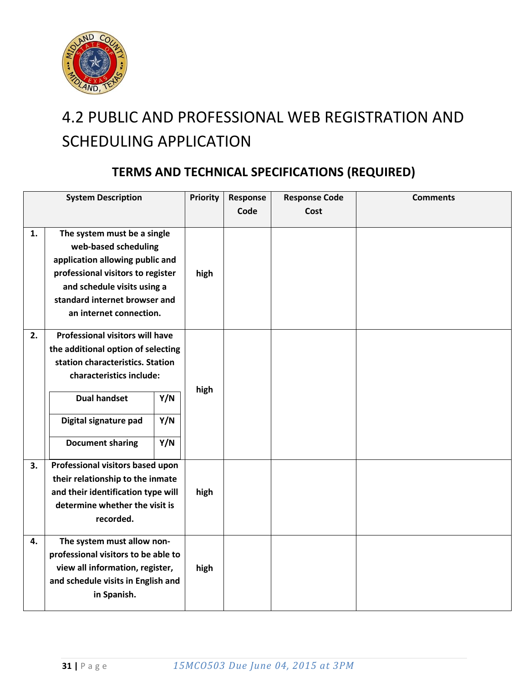

# 4.2 PUBLIC AND PROFESSIONAL WEB REGISTRATION AND SCHEDULING APPLICATION

### **TERMS AND TECHNICAL SPECIFICATIONS (REQUIRED)**

|    | <b>System Description</b>                                                                                                                                                                                                                    | <b>Priority</b> | Response<br>Code | <b>Response Code</b><br>Cost | <b>Comments</b> |
|----|----------------------------------------------------------------------------------------------------------------------------------------------------------------------------------------------------------------------------------------------|-----------------|------------------|------------------------------|-----------------|
| 1. | The system must be a single<br>web-based scheduling<br>application allowing public and<br>professional visitors to register<br>and schedule visits using a<br>standard internet browser and<br>an internet connection.                       | high            |                  |                              |                 |
| 2. | <b>Professional visitors will have</b><br>the additional option of selecting<br>station characteristics. Station<br>characteristics include:<br><b>Dual handset</b><br>Y/N<br>Digital signature pad<br>Y/N<br>Y/N<br><b>Document sharing</b> | high            |                  |                              |                 |
| 3. | Professional visitors based upon<br>their relationship to the inmate<br>and their identification type will<br>determine whether the visit is<br>recorded.                                                                                    | high            |                  |                              |                 |
| 4. | The system must allow non-<br>professional visitors to be able to<br>view all information, register,<br>and schedule visits in English and<br>in Spanish.                                                                                    | high            |                  |                              |                 |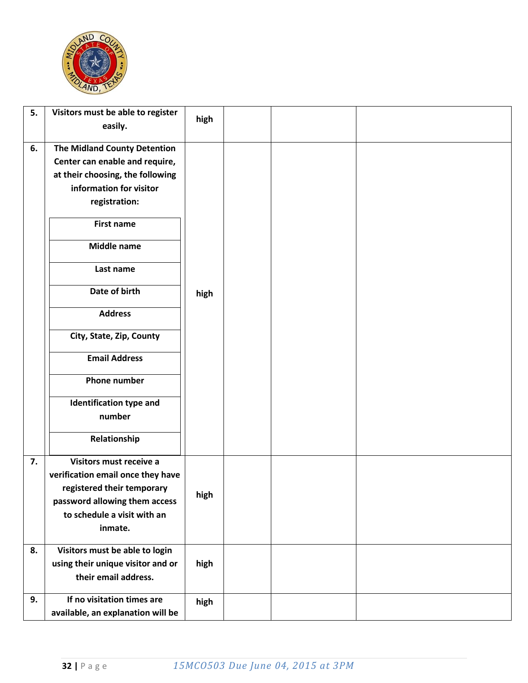

| 5. | Visitors must be able to register<br>easily.                                                                                                                                                                                                                                                                                                                                     | high |  |  |
|----|----------------------------------------------------------------------------------------------------------------------------------------------------------------------------------------------------------------------------------------------------------------------------------------------------------------------------------------------------------------------------------|------|--|--|
| 6. | <b>The Midland County Detention</b><br>Center can enable and require,<br>at their choosing, the following<br>information for visitor<br>registration:<br><b>First name</b><br>Middle name<br>Last name<br>Date of birth<br><b>Address</b><br>City, State, Zip, County<br><b>Email Address</b><br><b>Phone number</b><br><b>Identification type and</b><br>number<br>Relationship | high |  |  |
| 7. | Visitors must receive a<br>verification email once they have<br>registered their temporary<br>password allowing them access<br>to schedule a visit with an<br>inmate.                                                                                                                                                                                                            | high |  |  |
| 8. | Visitors must be able to login<br>using their unique visitor and or<br>their email address.                                                                                                                                                                                                                                                                                      | high |  |  |
| 9. | If no visitation times are<br>available, an explanation will be                                                                                                                                                                                                                                                                                                                  | high |  |  |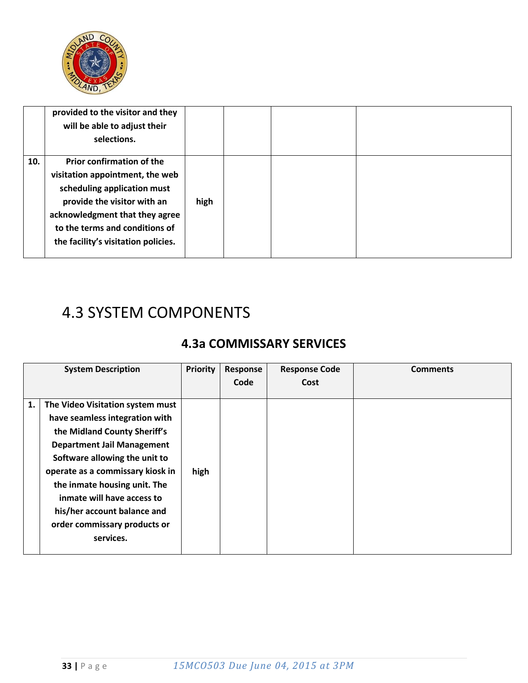

|     | provided to the visitor and they<br>will be able to adjust their<br>selections.                                                                                                                                                              |      |  |  |
|-----|----------------------------------------------------------------------------------------------------------------------------------------------------------------------------------------------------------------------------------------------|------|--|--|
| 10. | <b>Prior confirmation of the</b><br>visitation appointment, the web<br>scheduling application must<br>provide the visitor with an<br>acknowledgment that they agree<br>to the terms and conditions of<br>the facility's visitation policies. | high |  |  |

## 4.3 SYSTEM COMPONENTS

### **4.3a COMMISSARY SERVICES**

|    | <b>System Description</b>                                                                                                                                                                                                                                                                                                                              | <b>Priority</b> | Response | <b>Response Code</b> | <b>Comments</b> |
|----|--------------------------------------------------------------------------------------------------------------------------------------------------------------------------------------------------------------------------------------------------------------------------------------------------------------------------------------------------------|-----------------|----------|----------------------|-----------------|
|    |                                                                                                                                                                                                                                                                                                                                                        |                 | Code     | Cost                 |                 |
| 1. | The Video Visitation system must<br>have seamless integration with<br>the Midland County Sheriff's<br><b>Department Jail Management</b><br>Software allowing the unit to<br>operate as a commissary kiosk in<br>the inmate housing unit. The<br>inmate will have access to<br>his/her account balance and<br>order commissary products or<br>services. | high            |          |                      |                 |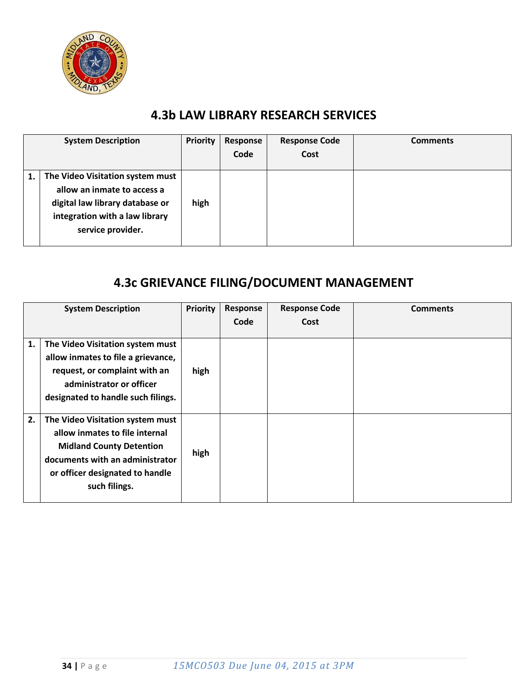

### **4.3b LAW LIBRARY RESEARCH SERVICES**

| <b>System Description</b>                                                                                                                                 | <b>Priority</b> | Response<br>Code | <b>Response Code</b><br>Cost | <b>Comments</b> |
|-----------------------------------------------------------------------------------------------------------------------------------------------------------|-----------------|------------------|------------------------------|-----------------|
| The Video Visitation system must<br>allow an inmate to access a<br>digital law library database or<br>integration with a law library<br>service provider. | high            |                  |                              |                 |

### **4.3c GRIEVANCE FILING/DOCUMENT MANAGEMENT**

| <b>System Description</b> |                                                                                                                                                                                              | <b>Priority</b> | Response | <b>Response Code</b> | <b>Comments</b> |
|---------------------------|----------------------------------------------------------------------------------------------------------------------------------------------------------------------------------------------|-----------------|----------|----------------------|-----------------|
|                           |                                                                                                                                                                                              |                 | Code     | Cost                 |                 |
| 1.                        | The Video Visitation system must<br>allow inmates to file a grievance,<br>request, or complaint with an<br>administrator or officer<br>designated to handle such filings.                    | high            |          |                      |                 |
| 2.                        | The Video Visitation system must<br>allow inmates to file internal<br><b>Midland County Detention</b><br>documents with an administrator<br>or officer designated to handle<br>such filings. | high            |          |                      |                 |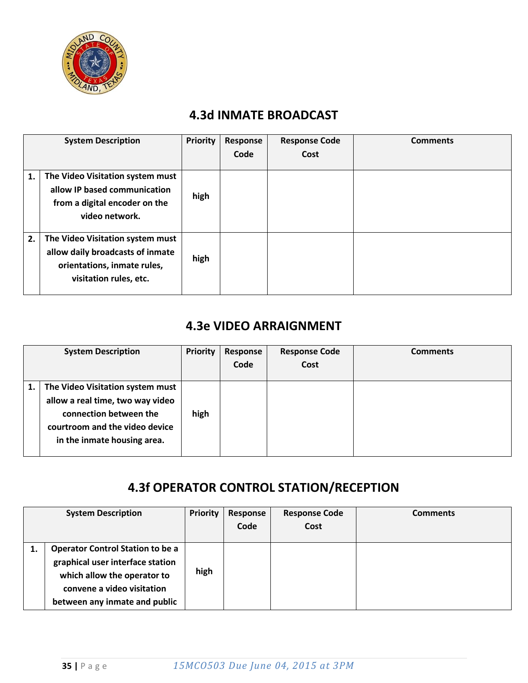

### **4.3d INMATE BROADCAST**

| <b>System Description</b> |                                                                                                                               | <b>Priority</b> | Response<br>Code | <b>Response Code</b><br>Cost | <b>Comments</b> |
|---------------------------|-------------------------------------------------------------------------------------------------------------------------------|-----------------|------------------|------------------------------|-----------------|
| 1.                        | The Video Visitation system must<br>allow IP based communication<br>from a digital encoder on the<br>video network.           | high            |                  |                              |                 |
| 2.                        | The Video Visitation system must<br>allow daily broadcasts of inmate<br>orientations, inmate rules,<br>visitation rules, etc. | high            |                  |                              |                 |

### **4.3e VIDEO ARRAIGNMENT**

| <b>System Description</b>                                                                                                                                       | <b>Priority</b> | Response | <b>Response Code</b> | <b>Comments</b> |
|-----------------------------------------------------------------------------------------------------------------------------------------------------------------|-----------------|----------|----------------------|-----------------|
|                                                                                                                                                                 |                 | Code     | Cost                 |                 |
| The Video Visitation system must<br>allow a real time, two way video<br>connection between the<br>courtroom and the video device<br>in the inmate housing area. | high            |          |                      |                 |

### **4.3f OPERATOR CONTROL STATION/RECEPTION**

| <b>System Description</b>                                                                                                                                                 | <b>Priority</b> | Response<br>Code | <b>Response Code</b><br>Cost | <b>Comments</b> |
|---------------------------------------------------------------------------------------------------------------------------------------------------------------------------|-----------------|------------------|------------------------------|-----------------|
| <b>Operator Control Station to be a</b><br>graphical user interface station<br>which allow the operator to<br>convene a video visitation<br>between any inmate and public | high            |                  |                              |                 |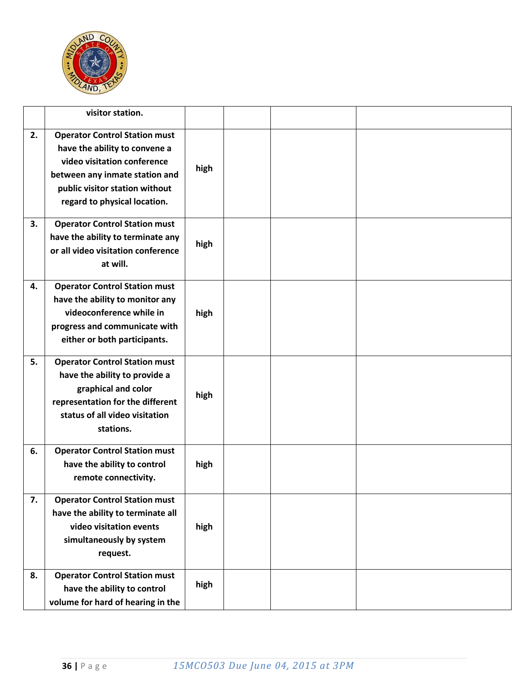

|    | visitor station.                                                                                                                                                                                         |      |  |  |
|----|----------------------------------------------------------------------------------------------------------------------------------------------------------------------------------------------------------|------|--|--|
| 2. | <b>Operator Control Station must</b><br>have the ability to convene a<br>video visitation conference<br>between any inmate station and<br>public visitor station without<br>regard to physical location. | high |  |  |
| 3. | <b>Operator Control Station must</b><br>have the ability to terminate any<br>or all video visitation conference<br>at will.                                                                              | high |  |  |
| 4. | <b>Operator Control Station must</b><br>have the ability to monitor any<br>videoconference while in<br>progress and communicate with<br>either or both participants.                                     | high |  |  |
| 5. | <b>Operator Control Station must</b><br>have the ability to provide a<br>graphical and color<br>representation for the different<br>status of all video visitation<br>stations.                          | high |  |  |
| 6. | <b>Operator Control Station must</b><br>have the ability to control<br>remote connectivity.                                                                                                              | high |  |  |
| 7. | <b>Operator Control Station must</b><br>have the ability to terminate all<br>video visitation events<br>simultaneously by system<br>request.                                                             | high |  |  |
| 8. | <b>Operator Control Station must</b><br>have the ability to control<br>volume for hard of hearing in the                                                                                                 | high |  |  |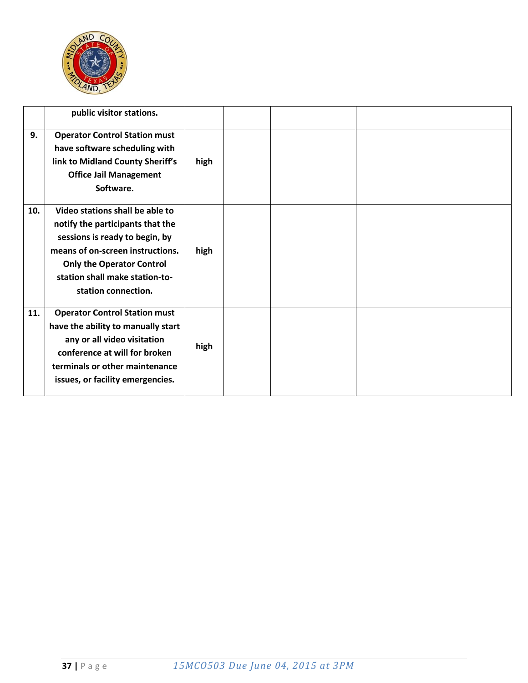

|     | public visitor stations.                                                                                                                                                                                                               |      |  |  |
|-----|----------------------------------------------------------------------------------------------------------------------------------------------------------------------------------------------------------------------------------------|------|--|--|
| 9.  | <b>Operator Control Station must</b><br>have software scheduling with<br>link to Midland County Sheriff's<br><b>Office Jail Management</b><br>Software.                                                                                | high |  |  |
| 10. | Video stations shall be able to<br>notify the participants that the<br>sessions is ready to begin, by<br>means of on-screen instructions.<br><b>Only the Operator Control</b><br>station shall make station-to-<br>station connection. | high |  |  |
| 11. | <b>Operator Control Station must</b><br>have the ability to manually start<br>any or all video visitation<br>conference at will for broken<br>terminals or other maintenance<br>issues, or facility emergencies.                       | high |  |  |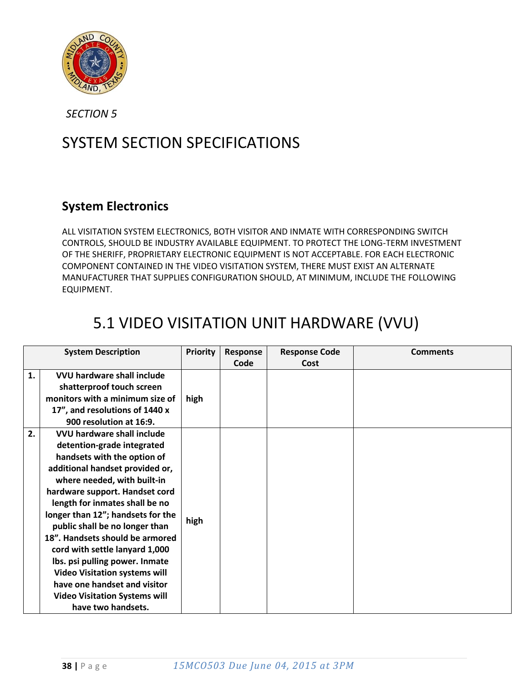

*SECTION 5*

## SYSTEM SECTION SPECIFICATIONS

### **System Electronics**

ALL VISITATION SYSTEM ELECTRONICS, BOTH VISITOR AND INMATE WITH CORRESPONDING SWITCH CONTROLS, SHOULD BE INDUSTRY AVAILABLE EQUIPMENT. TO PROTECT THE LONG-TERM INVESTMENT OF THE SHERIFF, PROPRIETARY ELECTRONIC EQUIPMENT IS NOT ACCEPTABLE. FOR EACH ELECTRONIC COMPONENT CONTAINED IN THE VIDEO VISITATION SYSTEM, THERE MUST EXIST AN ALTERNATE MANUFACTURER THAT SUPPLIES CONFIGURATION SHOULD, AT MINIMUM, INCLUDE THE FOLLOWING EQUIPMENT.

## 5.1 VIDEO VISITATION UNIT HARDWARE (VVU)

|    | <b>System Description</b>            | <b>Priority</b> | Response | <b>Response Code</b> | <b>Comments</b> |
|----|--------------------------------------|-----------------|----------|----------------------|-----------------|
|    |                                      |                 | Code     | Cost                 |                 |
| 1. | <b>VVU hardware shall include</b>    |                 |          |                      |                 |
|    | shatterproof touch screen            |                 |          |                      |                 |
|    | monitors with a minimum size of      | high            |          |                      |                 |
|    | 17", and resolutions of 1440 x       |                 |          |                      |                 |
|    | 900 resolution at 16:9.              |                 |          |                      |                 |
| 2. | <b>VVU hardware shall include</b>    |                 |          |                      |                 |
|    | detention-grade integrated           |                 |          |                      |                 |
|    | handsets with the option of          |                 |          |                      |                 |
|    | additional handset provided or,      |                 |          |                      |                 |
|    | where needed, with built-in          |                 |          |                      |                 |
|    | hardware support. Handset cord       |                 |          |                      |                 |
|    | length for inmates shall be no       |                 |          |                      |                 |
|    | longer than 12"; handsets for the    |                 |          |                      |                 |
|    | public shall be no longer than       | high            |          |                      |                 |
|    | 18". Handsets should be armored      |                 |          |                      |                 |
|    | cord with settle lanyard 1,000       |                 |          |                      |                 |
|    | Ibs. psi pulling power. Inmate       |                 |          |                      |                 |
|    | <b>Video Visitation systems will</b> |                 |          |                      |                 |
|    | have one handset and visitor         |                 |          |                      |                 |
|    | <b>Video Visitation Systems will</b> |                 |          |                      |                 |
|    | have two handsets.                   |                 |          |                      |                 |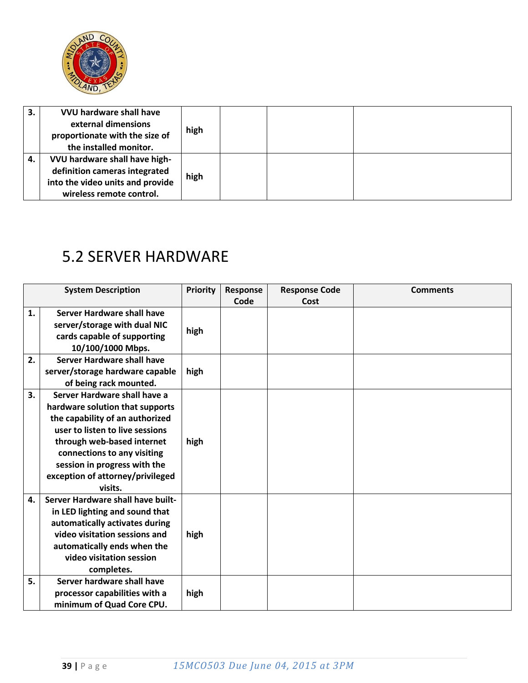

| З.  | VVU hardware shall have<br>external dimensions<br>proportionate with the size of<br>the installed monitor.                     | high |  |  |
|-----|--------------------------------------------------------------------------------------------------------------------------------|------|--|--|
| -4. | VVU hardware shall have high-<br>definition cameras integrated<br>into the video units and provide<br>wireless remote control. | high |  |  |

## 5.2 SERVER HARDWARE

| <b>System Description</b> |                                   | <b>Priority</b> | <b>Response</b> | <b>Response Code</b> | <b>Comments</b> |
|---------------------------|-----------------------------------|-----------------|-----------------|----------------------|-----------------|
|                           |                                   |                 | Code            | Cost                 |                 |
| 1.                        | <b>Server Hardware shall have</b> |                 |                 |                      |                 |
|                           | server/storage with dual NIC      |                 |                 |                      |                 |
|                           | cards capable of supporting       | high            |                 |                      |                 |
|                           | 10/100/1000 Mbps.                 |                 |                 |                      |                 |
| 2.                        | <b>Server Hardware shall have</b> |                 |                 |                      |                 |
|                           | server/storage hardware capable   | high            |                 |                      |                 |
|                           | of being rack mounted.            |                 |                 |                      |                 |
| 3.                        | Server Hardware shall have a      |                 |                 |                      |                 |
|                           | hardware solution that supports   |                 |                 |                      |                 |
|                           | the capability of an authorized   |                 |                 |                      |                 |
|                           | user to listen to live sessions   |                 |                 |                      |                 |
|                           | through web-based internet        | high            |                 |                      |                 |
|                           | connections to any visiting       |                 |                 |                      |                 |
|                           | session in progress with the      |                 |                 |                      |                 |
|                           | exception of attorney/privileged  |                 |                 |                      |                 |
|                           | visits.                           |                 |                 |                      |                 |
| 4.                        | Server Hardware shall have built- |                 |                 |                      |                 |
|                           | in LED lighting and sound that    |                 |                 |                      |                 |
|                           | automatically activates during    |                 |                 |                      |                 |
|                           | video visitation sessions and     | high            |                 |                      |                 |
|                           | automatically ends when the       |                 |                 |                      |                 |
|                           | video visitation session          |                 |                 |                      |                 |
|                           | completes.                        |                 |                 |                      |                 |
| 5.                        | Server hardware shall have        |                 |                 |                      |                 |
|                           | processor capabilities with a     | high            |                 |                      |                 |
|                           | minimum of Quad Core CPU.         |                 |                 |                      |                 |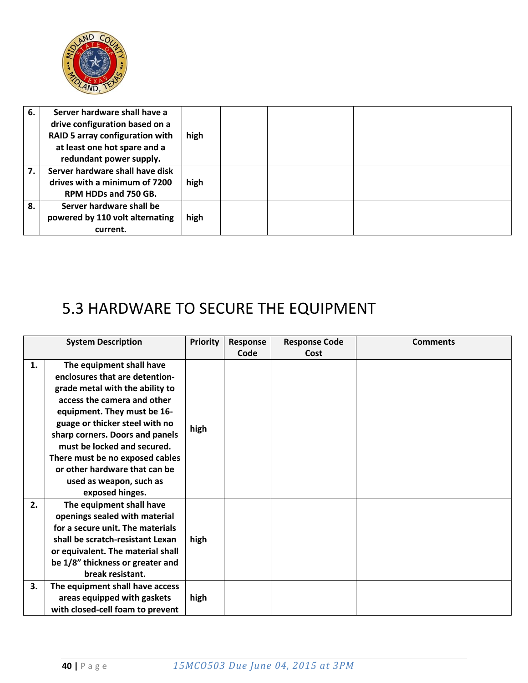

| 6. | Server hardware shall have a<br>drive configuration based on a<br>RAID 5 array configuration with<br>at least one hot spare and a<br>redundant power supply. | high |  |  |
|----|--------------------------------------------------------------------------------------------------------------------------------------------------------------|------|--|--|
| 7. | Server hardware shall have disk<br>drives with a minimum of 7200<br>RPM HDDs and 750 GB.                                                                     | high |  |  |
| 8. | Server hardware shall be<br>powered by 110 volt alternating<br>current.                                                                                      | high |  |  |

## 5.3 HARDWARE TO SECURE THE EQUIPMENT

|    | <b>System Description</b>         | <b>Priority</b> | <b>Response</b> | <b>Response Code</b> | <b>Comments</b> |
|----|-----------------------------------|-----------------|-----------------|----------------------|-----------------|
|    |                                   |                 | Code            | Cost                 |                 |
| 1. | The equipment shall have          |                 |                 |                      |                 |
|    | enclosures that are detention-    |                 |                 |                      |                 |
|    | grade metal with the ability to   |                 |                 |                      |                 |
|    | access the camera and other       |                 |                 |                      |                 |
|    | equipment. They must be 16-       |                 |                 |                      |                 |
|    | guage or thicker steel with no    | high            |                 |                      |                 |
|    | sharp corners. Doors and panels   |                 |                 |                      |                 |
|    | must be locked and secured.       |                 |                 |                      |                 |
|    | There must be no exposed cables   |                 |                 |                      |                 |
|    | or other hardware that can be     |                 |                 |                      |                 |
|    | used as weapon, such as           |                 |                 |                      |                 |
|    | exposed hinges.                   |                 |                 |                      |                 |
| 2. | The equipment shall have          |                 |                 |                      |                 |
|    | openings sealed with material     |                 |                 |                      |                 |
|    | for a secure unit. The materials  |                 |                 |                      |                 |
|    | shall be scratch-resistant Lexan  | high            |                 |                      |                 |
|    | or equivalent. The material shall |                 |                 |                      |                 |
|    | be 1/8" thickness or greater and  |                 |                 |                      |                 |
|    | break resistant.                  |                 |                 |                      |                 |
| 3. | The equipment shall have access   |                 |                 |                      |                 |
|    | areas equipped with gaskets       | high            |                 |                      |                 |
|    | with closed-cell foam to prevent  |                 |                 |                      |                 |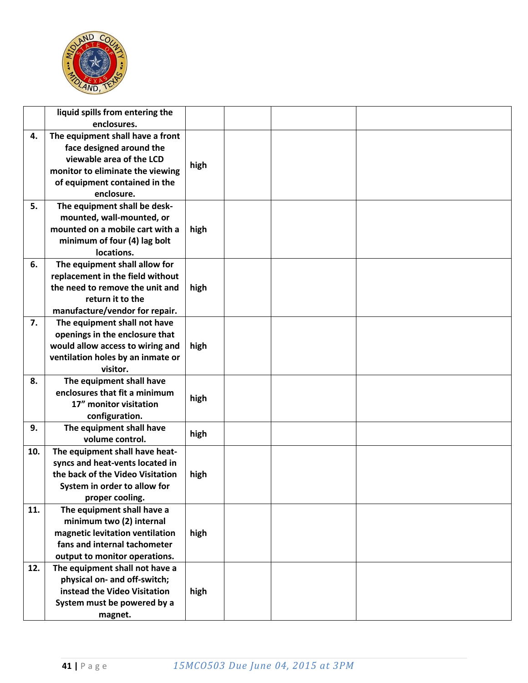

|     | liquid spills from entering the<br>enclosures. |      |  |  |
|-----|------------------------------------------------|------|--|--|
|     | The equipment shall have a front               |      |  |  |
| 4.  |                                                |      |  |  |
|     | face designed around the                       |      |  |  |
|     | viewable area of the LCD                       | high |  |  |
|     | monitor to eliminate the viewing               |      |  |  |
|     | of equipment contained in the                  |      |  |  |
|     | enclosure.                                     |      |  |  |
| 5.  | The equipment shall be desk-                   |      |  |  |
|     | mounted, wall-mounted, or                      |      |  |  |
|     | mounted on a mobile cart with a                | high |  |  |
|     | minimum of four (4) lag bolt                   |      |  |  |
|     | locations.                                     |      |  |  |
| 6.  | The equipment shall allow for                  |      |  |  |
|     | replacement in the field without               |      |  |  |
|     | the need to remove the unit and                | high |  |  |
|     | return it to the                               |      |  |  |
|     | manufacture/vendor for repair.                 |      |  |  |
| 7.  | The equipment shall not have                   |      |  |  |
|     | openings in the enclosure that                 |      |  |  |
|     | would allow access to wiring and               | high |  |  |
|     | ventilation holes by an inmate or              |      |  |  |
|     | visitor.                                       |      |  |  |
| 8.  | The equipment shall have                       |      |  |  |
|     | enclosures that fit a minimum                  |      |  |  |
|     | 17" monitor visitation                         | high |  |  |
|     | configuration.                                 |      |  |  |
| 9.  | The equipment shall have                       | high |  |  |
|     | volume control.                                |      |  |  |
| 10. | The equipment shall have heat-                 |      |  |  |
|     | syncs and heat-vents located in                |      |  |  |
|     | the back of the Video Visitation               | high |  |  |
|     | System in order to allow for                   |      |  |  |
|     | proper cooling.                                |      |  |  |
| 11. | The equipment shall have a                     |      |  |  |
|     | minimum two (2) internal                       |      |  |  |
|     | magnetic levitation ventilation                | high |  |  |
|     | fans and internal tachometer                   |      |  |  |
|     | output to monitor operations.                  |      |  |  |
| 12. | The equipment shall not have a                 |      |  |  |
|     | physical on- and off-switch;                   |      |  |  |
|     | instead the Video Visitation                   | high |  |  |
|     | System must be powered by a                    |      |  |  |
|     | magnet.                                        |      |  |  |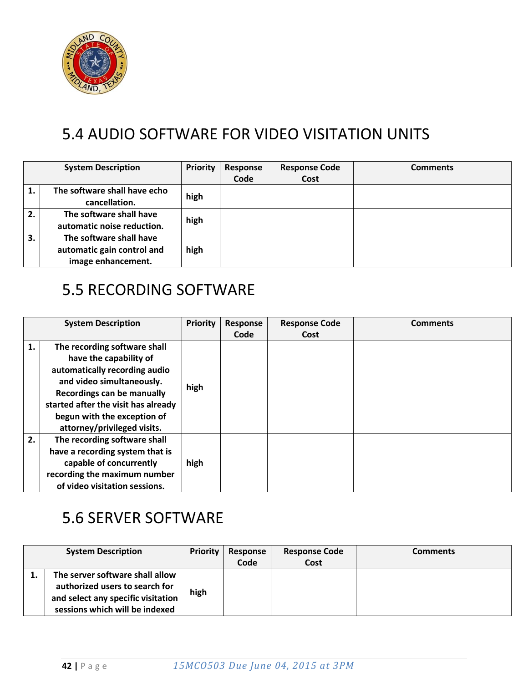

## 5.4 AUDIO SOFTWARE FOR VIDEO VISITATION UNITS

|    | <b>System Description</b>    | <b>Priority</b> | Response | <b>Response Code</b> | <b>Comments</b> |
|----|------------------------------|-----------------|----------|----------------------|-----------------|
|    |                              |                 | Code     | Cost                 |                 |
|    | The software shall have echo | high            |          |                      |                 |
|    | cancellation.                |                 |          |                      |                 |
| 2. | The software shall have      |                 |          |                      |                 |
|    | automatic noise reduction.   | high            |          |                      |                 |
| 3. | The software shall have      |                 |          |                      |                 |
|    | automatic gain control and   | high            |          |                      |                 |
|    | image enhancement.           |                 |          |                      |                 |

## 5.5 RECORDING SOFTWARE

| <b>System Description</b> |                                                                                                                                                                                                                                 | <b>Priority</b> | Response | <b>Response Code</b> | <b>Comments</b> |
|---------------------------|---------------------------------------------------------------------------------------------------------------------------------------------------------------------------------------------------------------------------------|-----------------|----------|----------------------|-----------------|
|                           |                                                                                                                                                                                                                                 |                 | Code     | Cost                 |                 |
| 1.                        | The recording software shall<br>have the capability of<br>automatically recording audio<br>and video simultaneously.<br><b>Recordings can be manually</b><br>started after the visit has already<br>begun with the exception of | high            |          |                      |                 |
|                           | attorney/privileged visits.                                                                                                                                                                                                     |                 |          |                      |                 |
| 2.                        | The recording software shall                                                                                                                                                                                                    |                 |          |                      |                 |
|                           | have a recording system that is                                                                                                                                                                                                 |                 |          |                      |                 |
|                           | capable of concurrently                                                                                                                                                                                                         | high            |          |                      |                 |
|                           | recording the maximum number                                                                                                                                                                                                    |                 |          |                      |                 |
|                           | of video visitation sessions.                                                                                                                                                                                                   |                 |          |                      |                 |

## 5.6 SERVER SOFTWARE

| <b>System Description</b> |                                                                                                                                           | <b>Priority</b> | Response<br>Code | <b>Response Code</b><br>Cost | <b>Comments</b> |
|---------------------------|-------------------------------------------------------------------------------------------------------------------------------------------|-----------------|------------------|------------------------------|-----------------|
|                           | The server software shall allow<br>authorized users to search for<br>and select any specific visitation<br>sessions which will be indexed | high            |                  |                              |                 |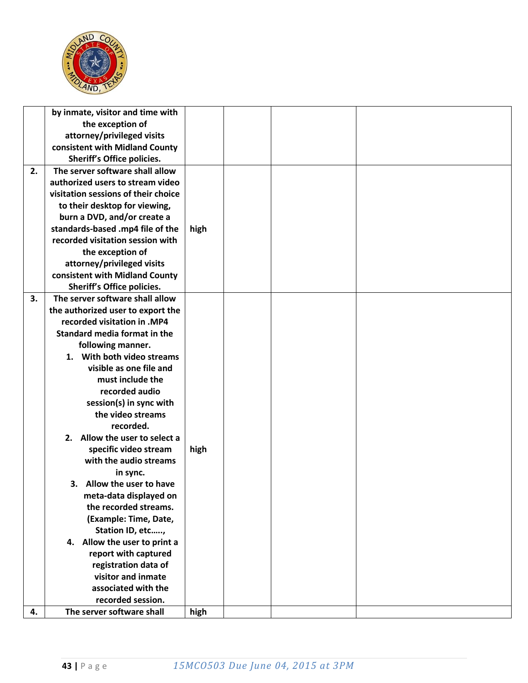

|    | by inmate, visitor and time with    |      |  |  |
|----|-------------------------------------|------|--|--|
|    | the exception of                    |      |  |  |
|    | attorney/privileged visits          |      |  |  |
|    | consistent with Midland County      |      |  |  |
|    | Sheriff's Office policies.          |      |  |  |
| 2. | The server software shall allow     |      |  |  |
|    | authorized users to stream video    |      |  |  |
|    | visitation sessions of their choice |      |  |  |
|    | to their desktop for viewing,       |      |  |  |
|    | burn a DVD, and/or create a         |      |  |  |
|    | standards-based .mp4 file of the    | high |  |  |
|    | recorded visitation session with    |      |  |  |
|    | the exception of                    |      |  |  |
|    | attorney/privileged visits          |      |  |  |
|    | consistent with Midland County      |      |  |  |
|    | Sheriff's Office policies.          |      |  |  |
| 3. | The server software shall allow     |      |  |  |
|    | the authorized user to export the   |      |  |  |
|    | recorded visitation in .MP4         |      |  |  |
|    | Standard media format in the        |      |  |  |
|    | following manner.                   |      |  |  |
|    | 1. With both video streams          |      |  |  |
|    | visible as one file and             |      |  |  |
|    | must include the                    |      |  |  |
|    | recorded audio                      |      |  |  |
|    | session(s) in sync with             |      |  |  |
|    | the video streams                   |      |  |  |
|    | recorded.                           |      |  |  |
|    | 2. Allow the user to select a       |      |  |  |
|    | specific video stream               | high |  |  |
|    | with the audio streams              |      |  |  |
|    | in sync.                            |      |  |  |
|    | 3. Allow the user to have           |      |  |  |
|    | meta-data displayed on              |      |  |  |
|    | the recorded streams.               |      |  |  |
|    | (Example: Time, Date,               |      |  |  |
|    | Station ID, etc,                    |      |  |  |
|    | 4. Allow the user to print a        |      |  |  |
|    | report with captured                |      |  |  |
|    | registration data of                |      |  |  |
|    | visitor and inmate                  |      |  |  |
|    | associated with the                 |      |  |  |
|    | recorded session.                   |      |  |  |
| 4. | The server software shall           | high |  |  |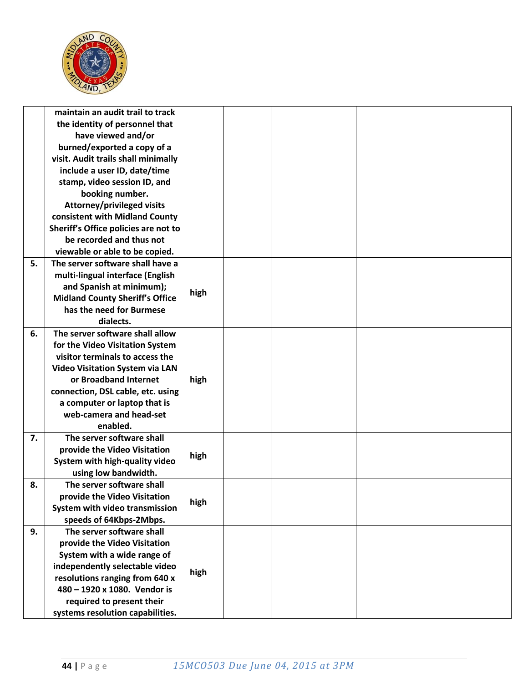

|    | maintain an audit trail to track       |      |  |  |
|----|----------------------------------------|------|--|--|
|    | the identity of personnel that         |      |  |  |
|    | have viewed and/or                     |      |  |  |
|    | burned/exported a copy of a            |      |  |  |
|    | visit. Audit trails shall minimally    |      |  |  |
|    | include a user ID, date/time           |      |  |  |
|    | stamp, video session ID, and           |      |  |  |
|    | booking number.                        |      |  |  |
|    | Attorney/privileged visits             |      |  |  |
|    | consistent with Midland County         |      |  |  |
|    | Sheriff's Office policies are not to   |      |  |  |
|    | be recorded and thus not               |      |  |  |
|    | viewable or able to be copied.         |      |  |  |
| 5. | The server software shall have a       |      |  |  |
|    | multi-lingual interface (English       |      |  |  |
|    | and Spanish at minimum);               |      |  |  |
|    | <b>Midland County Sheriff's Office</b> | high |  |  |
|    | has the need for Burmese               |      |  |  |
|    | dialects.                              |      |  |  |
| 6. | The server software shall allow        |      |  |  |
|    | for the Video Visitation System        |      |  |  |
|    | visitor terminals to access the        |      |  |  |
|    | <b>Video Visitation System via LAN</b> |      |  |  |
|    | or Broadband Internet                  | high |  |  |
|    | connection, DSL cable, etc. using      |      |  |  |
|    | a computer or laptop that is           |      |  |  |
|    | web-camera and head-set                |      |  |  |
|    | enabled.                               |      |  |  |
| 7. | The server software shall              |      |  |  |
|    | provide the Video Visitation           | high |  |  |
|    | System with high-quality video         |      |  |  |
|    | using low bandwidth.                   |      |  |  |
| 8. | The server software shall              |      |  |  |
|    | provide the Video Visitation           | high |  |  |
|    | System with video transmission         |      |  |  |
|    | speeds of 64Kbps-2Mbps.                |      |  |  |
| 9. | The server software shall              |      |  |  |
|    | provide the Video Visitation           |      |  |  |
|    | System with a wide range of            |      |  |  |
|    | independently selectable video         | high |  |  |
|    | resolutions ranging from 640 x         |      |  |  |
|    | 480 - 1920 x 1080. Vendor is           |      |  |  |
|    | required to present their              |      |  |  |
|    | systems resolution capabilities.       |      |  |  |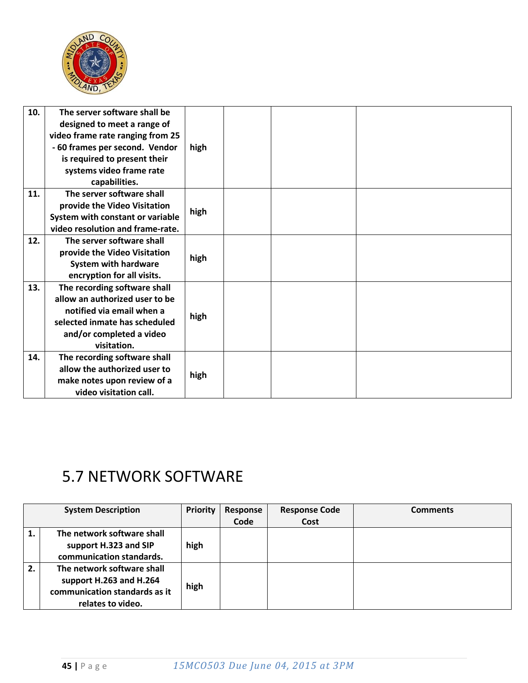

| 10. | The server software shall be<br>designed to meet a range of<br>video frame rate ranging from 25<br>- 60 frames per second. Vendor<br>is required to present their<br>systems video frame rate<br>capabilities. | high |  |  |
|-----|----------------------------------------------------------------------------------------------------------------------------------------------------------------------------------------------------------------|------|--|--|
| 11. | The server software shall<br>provide the Video Visitation<br>System with constant or variable<br>video resolution and frame-rate.                                                                              | high |  |  |
| 12. | The server software shall<br>provide the Video Visitation<br><b>System with hardware</b><br>encryption for all visits.                                                                                         | high |  |  |
| 13. | The recording software shall<br>allow an authorized user to be<br>notified via email when a<br>selected inmate has scheduled<br>and/or completed a video<br>visitation.                                        | high |  |  |
| 14. | The recording software shall<br>allow the authorized user to<br>make notes upon review of a<br>video visitation call.                                                                                          | high |  |  |

## 5.7 NETWORK SOFTWARE

|    | <b>System Description</b>     | <b>Priority</b> | Response | <b>Response Code</b> | <b>Comments</b> |
|----|-------------------------------|-----------------|----------|----------------------|-----------------|
|    |                               |                 | Code     | Cost                 |                 |
|    | The network software shall    |                 |          |                      |                 |
|    | support H.323 and SIP         | high            |          |                      |                 |
|    | communication standards.      |                 |          |                      |                 |
| 2. | The network software shall    |                 |          |                      |                 |
|    | support H.263 and H.264       |                 |          |                      |                 |
|    | communication standards as it | high            |          |                      |                 |
|    | relates to video.             |                 |          |                      |                 |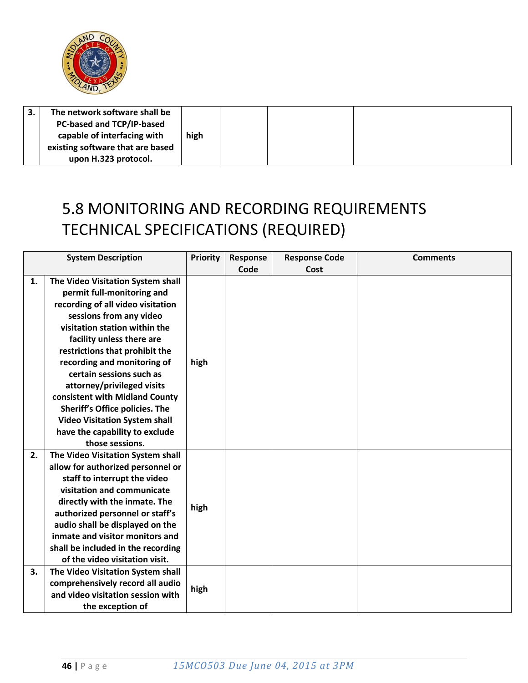

| The network software shall be<br>PC-based and TCP/IP-based<br>capable of interfacing with<br>existing software that are based | high |  |  |
|-------------------------------------------------------------------------------------------------------------------------------|------|--|--|
| upon H.323 protocol.                                                                                                          |      |  |  |

# 5.8 MONITORING AND RECORDING REQUIREMENTS TECHNICAL SPECIFICATIONS (REQUIRED)

| <b>System Description</b> |                                                                                                                                                                                                                                                                                                                                                                                                                                                                                           | <b>Priority</b> | <b>Response</b><br>Code | <b>Response Code</b><br>Cost | <b>Comments</b> |
|---------------------------|-------------------------------------------------------------------------------------------------------------------------------------------------------------------------------------------------------------------------------------------------------------------------------------------------------------------------------------------------------------------------------------------------------------------------------------------------------------------------------------------|-----------------|-------------------------|------------------------------|-----------------|
| 1.                        | The Video Visitation System shall<br>permit full-monitoring and<br>recording of all video visitation<br>sessions from any video<br>visitation station within the<br>facility unless there are<br>restrictions that prohibit the<br>recording and monitoring of<br>certain sessions such as<br>attorney/privileged visits<br>consistent with Midland County<br>Sheriff's Office policies. The<br><b>Video Visitation System shall</b><br>have the capability to exclude<br>those sessions. | high            |                         |                              |                 |
| 2.                        | The Video Visitation System shall<br>allow for authorized personnel or<br>staff to interrupt the video<br>visitation and communicate<br>directly with the inmate. The<br>authorized personnel or staff's<br>audio shall be displayed on the<br>inmate and visitor monitors and<br>shall be included in the recording<br>of the video visitation visit.                                                                                                                                    | high            |                         |                              |                 |
| 3.                        | The Video Visitation System shall<br>comprehensively record all audio<br>and video visitation session with<br>the exception of                                                                                                                                                                                                                                                                                                                                                            | high            |                         |                              |                 |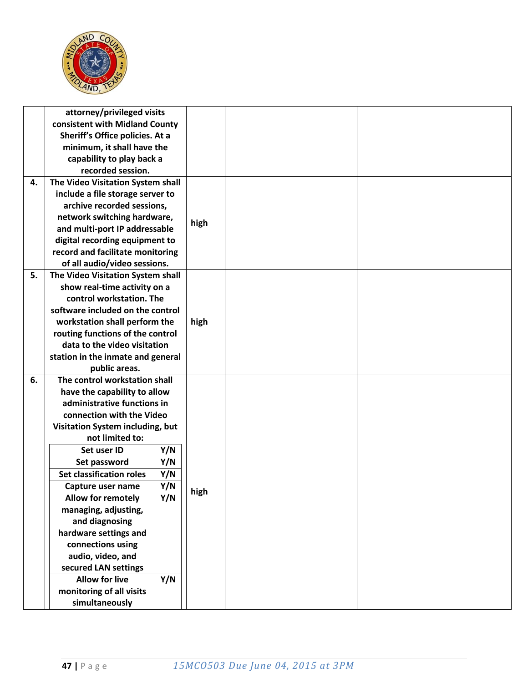

|    | attorney/privileged visits        |     |      |  |  |
|----|-----------------------------------|-----|------|--|--|
|    | consistent with Midland County    |     |      |  |  |
|    | Sheriff's Office policies. At a   |     |      |  |  |
|    | minimum, it shall have the        |     |      |  |  |
|    | capability to play back a         |     |      |  |  |
|    | recorded session.                 |     |      |  |  |
| 4. | The Video Visitation System shall |     |      |  |  |
|    | include a file storage server to  |     |      |  |  |
|    | archive recorded sessions,        |     |      |  |  |
|    | network switching hardware,       |     |      |  |  |
|    | and multi-port IP addressable     |     | high |  |  |
|    | digital recording equipment to    |     |      |  |  |
|    | record and facilitate monitoring  |     |      |  |  |
|    | of all audio/video sessions.      |     |      |  |  |
| 5. | The Video Visitation System shall |     |      |  |  |
|    | show real-time activity on a      |     |      |  |  |
|    | control workstation. The          |     |      |  |  |
|    | software included on the control  |     |      |  |  |
|    | workstation shall perform the     |     | high |  |  |
|    | routing functions of the control  |     |      |  |  |
|    | data to the video visitation      |     |      |  |  |
|    | station in the inmate and general |     |      |  |  |
|    | public areas.                     |     |      |  |  |
| 6. | The control workstation shall     |     |      |  |  |
|    | have the capability to allow      |     |      |  |  |
|    | administrative functions in       |     |      |  |  |
|    | connection with the Video         |     |      |  |  |
|    | Visitation System including, but  |     |      |  |  |
|    | not limited to:                   |     |      |  |  |
|    | Set user ID                       | Y/N |      |  |  |
|    | Set password                      | Y/N |      |  |  |
|    | <b>Set classification roles</b>   | Y/N |      |  |  |
|    | Capture user name                 | Y/N | high |  |  |
|    | <b>Allow for remotely</b>         | Y/N |      |  |  |
|    | managing, adjusting,              |     |      |  |  |
|    | and diagnosing                    |     |      |  |  |
|    | hardware settings and             |     |      |  |  |
|    | connections using                 |     |      |  |  |
|    | audio, video, and                 |     |      |  |  |
|    | secured LAN settings              |     |      |  |  |
|    | <b>Allow for live</b>             | Y/N |      |  |  |
|    | monitoring of all visits          |     |      |  |  |
|    | simultaneously                    |     |      |  |  |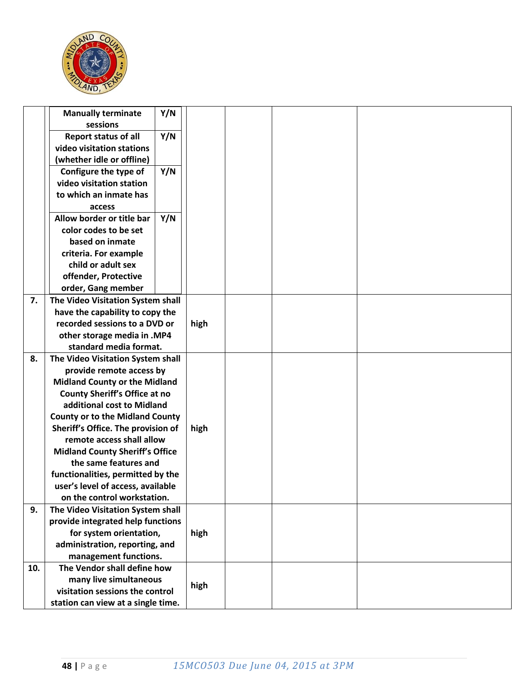

|     | <b>Manually terminate</b>                                | Y/N |      |  |  |
|-----|----------------------------------------------------------|-----|------|--|--|
|     | sessions                                                 |     |      |  |  |
|     | <b>Report status of all</b><br>video visitation stations | Y/N |      |  |  |
|     | (whether idle or offline)                                |     |      |  |  |
|     |                                                          |     |      |  |  |
|     | Configure the type of<br>video visitation station        | Y/N |      |  |  |
|     | to which an inmate has                                   |     |      |  |  |
|     |                                                          |     |      |  |  |
|     | access<br>Allow border or title bar                      | Y/N |      |  |  |
|     | color codes to be set                                    |     |      |  |  |
|     | based on inmate                                          |     |      |  |  |
|     | criteria. For example                                    |     |      |  |  |
|     | child or adult sex                                       |     |      |  |  |
|     | offender, Protective                                     |     |      |  |  |
|     | order, Gang member                                       |     |      |  |  |
| 7.  | The Video Visitation System shall                        |     |      |  |  |
|     | have the capability to copy the                          |     |      |  |  |
|     | recorded sessions to a DVD or                            |     | high |  |  |
|     | other storage media in .MP4                              |     |      |  |  |
|     | standard media format.                                   |     |      |  |  |
| 8.  | The Video Visitation System shall                        |     |      |  |  |
|     | provide remote access by                                 |     |      |  |  |
|     | <b>Midland County or the Midland</b>                     |     |      |  |  |
|     | <b>County Sheriff's Office at no</b>                     |     |      |  |  |
|     | additional cost to Midland                               |     |      |  |  |
|     | <b>County or to the Midland County</b>                   |     |      |  |  |
|     | Sheriff's Office. The provision of                       |     | high |  |  |
|     | remote access shall allow                                |     |      |  |  |
|     | <b>Midland County Sheriff's Office</b>                   |     |      |  |  |
|     | the same features and                                    |     |      |  |  |
|     | functionalities, permitted by the                        |     |      |  |  |
|     | user's level of access, available                        |     |      |  |  |
|     | on the control workstation.                              |     |      |  |  |
| 9.  | The Video Visitation System shall                        |     |      |  |  |
|     | provide integrated help functions                        |     |      |  |  |
|     | for system orientation,                                  |     | high |  |  |
|     | administration, reporting, and                           |     |      |  |  |
| 10. | management functions.<br>The Vendor shall define how     |     |      |  |  |
|     | many live simultaneous                                   |     |      |  |  |
|     | visitation sessions the control                          |     | high |  |  |
|     |                                                          |     |      |  |  |
|     | station can view at a single time.                       |     |      |  |  |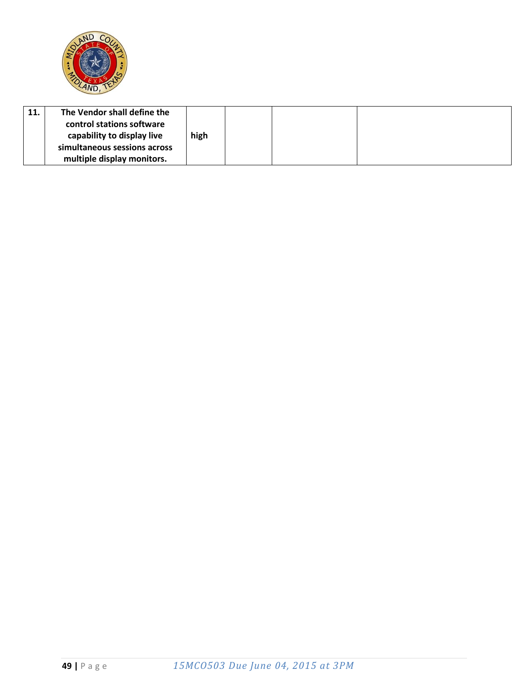

| 11. | The Vendor shall define the  |      |  |
|-----|------------------------------|------|--|
|     | control stations software    |      |  |
|     | capability to display live   | high |  |
|     | simultaneous sessions across |      |  |
|     | multiple display monitors.   |      |  |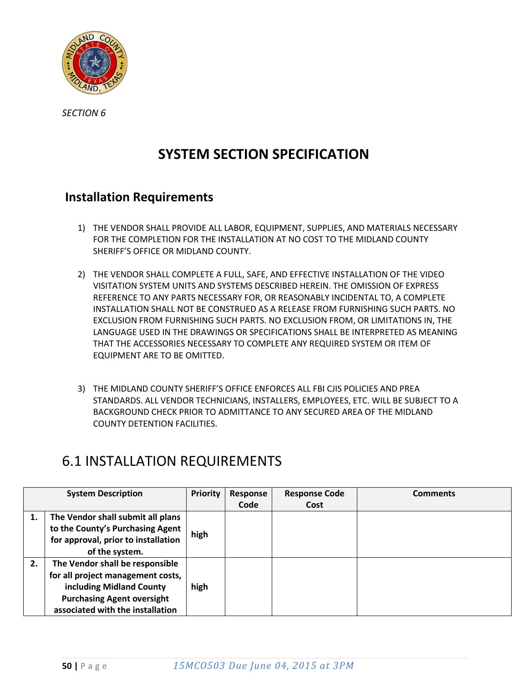

*SECTION 6*

## **SYSTEM SECTION SPECIFICATION**

### **Installation Requirements**

- 1) THE VENDOR SHALL PROVIDE ALL LABOR, EQUIPMENT, SUPPLIES, AND MATERIALS NECESSARY FOR THE COMPLETION FOR THE INSTALLATION AT NO COST TO THE MIDLAND COUNTY SHERIFF'S OFFICE OR MIDLAND COUNTY.
- 2) THE VENDOR SHALL COMPLETE A FULL, SAFE, AND EFFECTIVE INSTALLATION OF THE VIDEO VISITATION SYSTEM UNITS AND SYSTEMS DESCRIBED HEREIN. THE OMISSION OF EXPRESS REFERENCE TO ANY PARTS NECESSARY FOR, OR REASONABLY INCIDENTAL TO, A COMPLETE INSTALLATION SHALL NOT BE CONSTRUED AS A RELEASE FROM FURNISHING SUCH PARTS. NO EXCLUSION FROM FURNISHING SUCH PARTS. NO EXCLUSION FROM, OR LIMITATIONS IN, THE LANGUAGE USED IN THE DRAWINGS OR SPECIFICATIONS SHALL BE INTERPRETED AS MEANING THAT THE ACCESSORIES NECESSARY TO COMPLETE ANY REQUIRED SYSTEM OR ITEM OF EQUIPMENT ARE TO BE OMITTED.
- 3) THE MIDLAND COUNTY SHERIFF'S OFFICE ENFORCES ALL FBI CJIS POLICIES AND PREA STANDARDS. ALL VENDOR TECHNICIANS, INSTALLERS, EMPLOYEES, ETC. WILL BE SUBJECT TO A BACKGROUND CHECK PRIOR TO ADMITTANCE TO ANY SECURED AREA OF THE MIDLAND COUNTY DETENTION FACILITIES.

### 6.1 INSTALLATION REQUIREMENTS

|    | <b>System Description</b>                                                                                                                                                 | <b>Priority</b> | Response | <b>Response Code</b> | <b>Comments</b> |
|----|---------------------------------------------------------------------------------------------------------------------------------------------------------------------------|-----------------|----------|----------------------|-----------------|
|    |                                                                                                                                                                           |                 | Code     | Cost                 |                 |
|    | The Vendor shall submit all plans<br>to the County's Purchasing Agent<br>for approval, prior to installation<br>of the system.                                            | high            |          |                      |                 |
| 2. | The Vendor shall be responsible<br>for all project management costs,<br>including Midland County<br><b>Purchasing Agent oversight</b><br>associated with the installation | high            |          |                      |                 |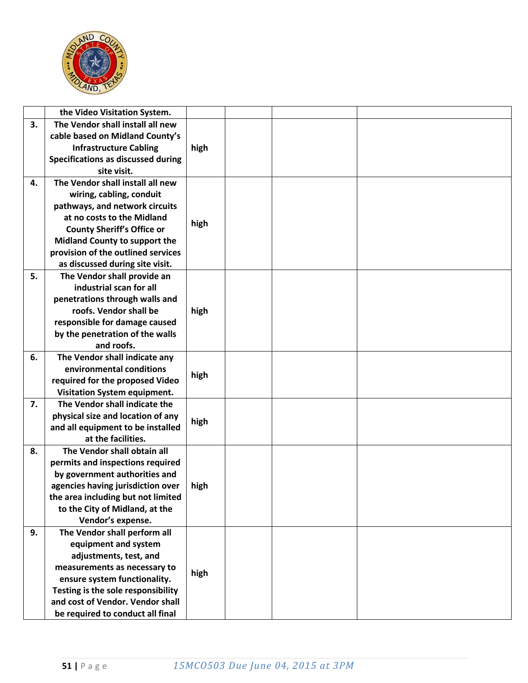

|    | the Video Visitation System.                                           |      |  |  |
|----|------------------------------------------------------------------------|------|--|--|
| 3. | The Vendor shall install all new                                       |      |  |  |
|    | cable based on Midland County's                                        |      |  |  |
|    | <b>Infrastructure Cabling</b>                                          | high |  |  |
|    | <b>Specifications as discussed during</b>                              |      |  |  |
|    | site visit.                                                            |      |  |  |
| 4. | The Vendor shall install all new                                       |      |  |  |
|    | wiring, cabling, conduit                                               |      |  |  |
|    | pathways, and network circuits                                         |      |  |  |
|    | at no costs to the Midland                                             |      |  |  |
|    | <b>County Sheriff's Office or</b>                                      | high |  |  |
|    | Midland County to support the                                          |      |  |  |
|    | provision of the outlined services                                     |      |  |  |
|    | as discussed during site visit.                                        |      |  |  |
| 5. | The Vendor shall provide an                                            |      |  |  |
|    | industrial scan for all                                                |      |  |  |
|    | penetrations through walls and                                         |      |  |  |
|    | roofs. Vendor shall be                                                 | high |  |  |
|    | responsible for damage caused                                          |      |  |  |
|    | by the penetration of the walls                                        |      |  |  |
|    | and roofs.                                                             |      |  |  |
| 6. | The Vendor shall indicate any                                          |      |  |  |
|    | environmental conditions                                               | high |  |  |
|    | required for the proposed Video                                        |      |  |  |
|    | <b>Visitation System equipment.</b>                                    |      |  |  |
| 7. | The Vendor shall indicate the                                          |      |  |  |
|    | physical size and location of any                                      | high |  |  |
|    | and all equipment to be installed                                      |      |  |  |
|    | at the facilities.                                                     |      |  |  |
| 8. | The Vendor shall obtain all                                            |      |  |  |
|    | permits and inspections required                                       |      |  |  |
|    | by government authorities and                                          |      |  |  |
|    | agencies having jurisdiction over                                      | high |  |  |
|    | the area including but not limited                                     |      |  |  |
|    | to the City of Midland, at the                                         |      |  |  |
|    | Vendor's expense.                                                      |      |  |  |
| 9. | The Vendor shall perform all                                           |      |  |  |
|    | equipment and system                                                   |      |  |  |
|    | adjustments, test, and                                                 |      |  |  |
|    | measurements as necessary to                                           | high |  |  |
|    | ensure system functionality.                                           |      |  |  |
|    | Testing is the sole responsibility<br>and cost of Vendor. Vendor shall |      |  |  |
|    |                                                                        |      |  |  |
|    | be required to conduct all final                                       |      |  |  |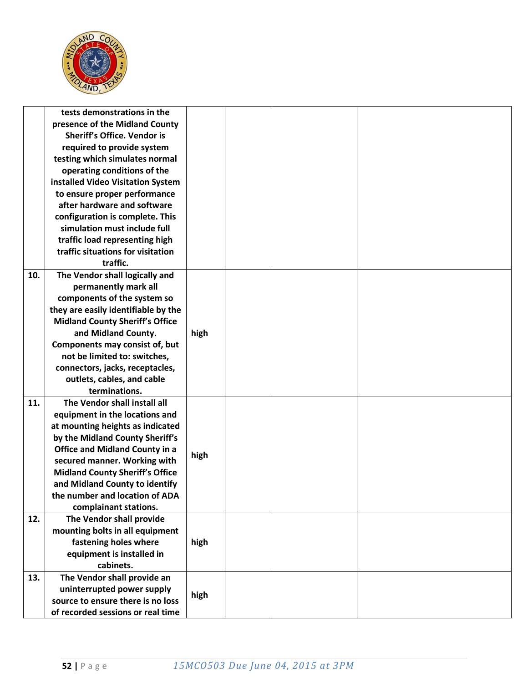

|     | tests demonstrations in the            |      |  |  |
|-----|----------------------------------------|------|--|--|
|     | presence of the Midland County         |      |  |  |
|     | <b>Sheriff's Office. Vendor is</b>     |      |  |  |
|     | required to provide system             |      |  |  |
|     | testing which simulates normal         |      |  |  |
|     | operating conditions of the            |      |  |  |
|     | installed Video Visitation System      |      |  |  |
|     | to ensure proper performance           |      |  |  |
|     | after hardware and software            |      |  |  |
|     | configuration is complete. This        |      |  |  |
|     | simulation must include full           |      |  |  |
|     | traffic load representing high         |      |  |  |
|     | traffic situations for visitation      |      |  |  |
|     | traffic.                               |      |  |  |
| 10. | The Vendor shall logically and         |      |  |  |
|     | permanently mark all                   |      |  |  |
|     | components of the system so            |      |  |  |
|     | they are easily identifiable by the    |      |  |  |
|     | <b>Midland County Sheriff's Office</b> |      |  |  |
|     | and Midland County.                    | high |  |  |
|     | Components may consist of, but         |      |  |  |
|     | not be limited to: switches,           |      |  |  |
|     | connectors, jacks, receptacles,        |      |  |  |
|     | outlets, cables, and cable             |      |  |  |
|     | terminations.                          |      |  |  |
| 11. | The Vendor shall install all           |      |  |  |
|     | equipment in the locations and         |      |  |  |
|     | at mounting heights as indicated       |      |  |  |
|     | by the Midland County Sheriff's        |      |  |  |
|     | <b>Office and Midland County in a</b>  | high |  |  |
|     | secured manner. Working with           |      |  |  |
|     | <b>Midland County Sheriff's Office</b> |      |  |  |
|     | and Midland County to identify         |      |  |  |
|     | the number and location of ADA         |      |  |  |
|     | complainant stations.                  |      |  |  |
| 12. | The Vendor shall provide               |      |  |  |
|     | mounting bolts in all equipment        |      |  |  |
|     | fastening holes where                  | high |  |  |
|     | equipment is installed in              |      |  |  |
|     | cabinets.                              |      |  |  |
| 13. | The Vendor shall provide an            |      |  |  |
|     | uninterrupted power supply             | high |  |  |
|     | source to ensure there is no loss      |      |  |  |
|     | of recorded sessions or real time      |      |  |  |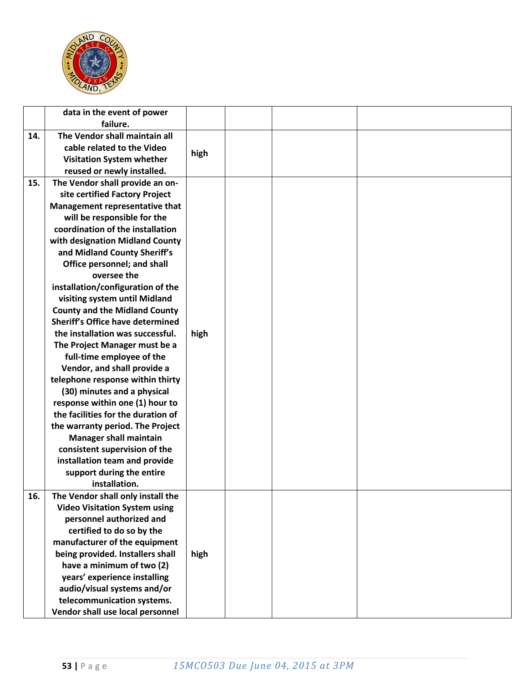

|     | data in the event of power              |      |  |  |
|-----|-----------------------------------------|------|--|--|
|     | failure.                                |      |  |  |
| 14. | The Vendor shall maintain all           |      |  |  |
|     | cable related to the Video              |      |  |  |
|     | <b>Visitation System whether</b>        | high |  |  |
|     | reused or newly installed.              |      |  |  |
| 15. | The Vendor shall provide an on-         |      |  |  |
|     | site certified Factory Project          |      |  |  |
|     | Management representative that          |      |  |  |
|     | will be responsible for the             |      |  |  |
|     | coordination of the installation        |      |  |  |
|     | with designation Midland County         |      |  |  |
|     | and Midland County Sheriff's            |      |  |  |
|     | Office personnel; and shall             |      |  |  |
|     | oversee the                             |      |  |  |
|     | installation/configuration of the       |      |  |  |
|     | visiting system until Midland           |      |  |  |
|     | <b>County and the Midland County</b>    |      |  |  |
|     | <b>Sheriff's Office have determined</b> |      |  |  |
|     | the installation was successful.        | high |  |  |
|     | The Project Manager must be a           |      |  |  |
|     | full-time employee of the               |      |  |  |
|     | Vendor, and shall provide a             |      |  |  |
|     | telephone response within thirty        |      |  |  |
|     | (30) minutes and a physical             |      |  |  |
|     | response within one (1) hour to         |      |  |  |
|     | the facilities for the duration of      |      |  |  |
|     | the warranty period. The Project        |      |  |  |
|     | <b>Manager shall maintain</b>           |      |  |  |
|     | consistent supervision of the           |      |  |  |
|     | installation team and provide           |      |  |  |
|     | support during the entire               |      |  |  |
|     | installation.                           |      |  |  |
| 16. | The Vendor shall only install the       |      |  |  |
|     | <b>Video Visitation System using</b>    |      |  |  |
|     | personnel authorized and                |      |  |  |
|     | certified to do so by the               |      |  |  |
|     | manufacturer of the equipment           |      |  |  |
|     | being provided. Installers shall        | high |  |  |
|     | have a minimum of two (2)               |      |  |  |
|     | years' experience installing            |      |  |  |
|     | audio/visual systems and/or             |      |  |  |
|     | telecommunication systems.              |      |  |  |
|     | Vendor shall use local personnel        |      |  |  |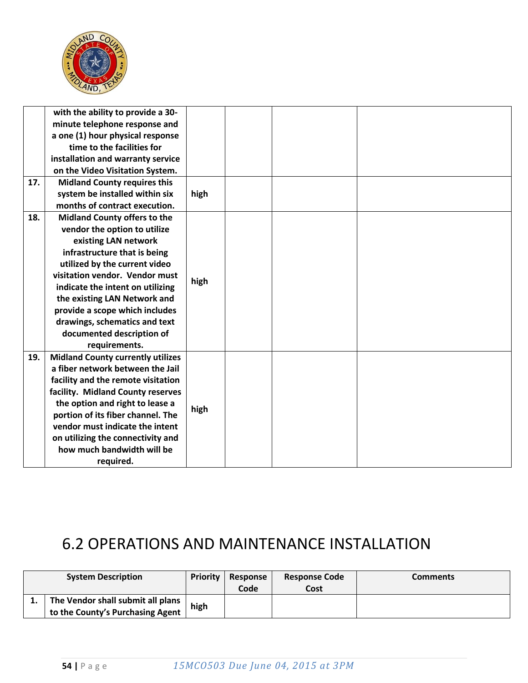

|     | with the ability to provide a 30-        |      |  |  |
|-----|------------------------------------------|------|--|--|
|     | minute telephone response and            |      |  |  |
|     | a one (1) hour physical response         |      |  |  |
|     | time to the facilities for               |      |  |  |
|     | installation and warranty service        |      |  |  |
|     | on the Video Visitation System.          |      |  |  |
| 17. | <b>Midland County requires this</b>      |      |  |  |
|     | system be installed within six           | high |  |  |
|     | months of contract execution.            |      |  |  |
| 18. | <b>Midland County offers to the</b>      |      |  |  |
|     | vendor the option to utilize             |      |  |  |
|     | existing LAN network                     |      |  |  |
|     | infrastructure that is being             |      |  |  |
|     | utilized by the current video            |      |  |  |
|     | visitation vendor. Vendor must           | high |  |  |
|     | indicate the intent on utilizing         |      |  |  |
|     | the existing LAN Network and             |      |  |  |
|     | provide a scope which includes           |      |  |  |
|     | drawings, schematics and text            |      |  |  |
|     | documented description of                |      |  |  |
|     | requirements.                            |      |  |  |
| 19. | <b>Midland County currently utilizes</b> |      |  |  |
|     | a fiber network between the Jail         |      |  |  |
|     | facility and the remote visitation       |      |  |  |
|     | facility. Midland County reserves        |      |  |  |
|     | the option and right to lease a          |      |  |  |
|     | portion of its fiber channel. The        | high |  |  |
|     | vendor must indicate the intent          |      |  |  |
|     | on utilizing the connectivity and        |      |  |  |
|     | how much bandwidth will be               |      |  |  |
|     | required.                                |      |  |  |
|     |                                          |      |  |  |

## 6.2 OPERATIONS AND MAINTENANCE INSTALLATION

| <b>System Description</b>                                             | <b>Priority</b> | Response<br>Code | <b>Response Code</b><br>Cost | <b>Comments</b> |
|-----------------------------------------------------------------------|-----------------|------------------|------------------------------|-----------------|
| The Vendor shall submit all plans<br>to the County's Purchasing Agent | high            |                  |                              |                 |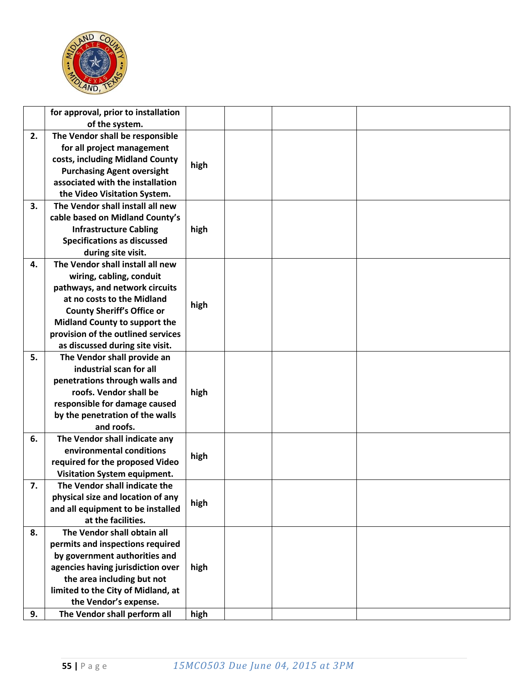

|    | for approval, prior to installation  |      |  |  |
|----|--------------------------------------|------|--|--|
|    | of the system.                       |      |  |  |
| 2. | The Vendor shall be responsible      |      |  |  |
|    | for all project management           |      |  |  |
|    | costs, including Midland County      |      |  |  |
|    | <b>Purchasing Agent oversight</b>    | high |  |  |
|    | associated with the installation     |      |  |  |
|    | the Video Visitation System.         |      |  |  |
| 3. | The Vendor shall install all new     |      |  |  |
|    | cable based on Midland County's      |      |  |  |
|    | <b>Infrastructure Cabling</b>        | high |  |  |
|    | <b>Specifications as discussed</b>   |      |  |  |
|    | during site visit.                   |      |  |  |
| 4. | The Vendor shall install all new     |      |  |  |
|    | wiring, cabling, conduit             |      |  |  |
|    | pathways, and network circuits       |      |  |  |
|    | at no costs to the Midland           |      |  |  |
|    | <b>County Sheriff's Office or</b>    | high |  |  |
|    | <b>Midland County to support the</b> |      |  |  |
|    | provision of the outlined services   |      |  |  |
|    | as discussed during site visit.      |      |  |  |
| 5. | The Vendor shall provide an          |      |  |  |
|    | industrial scan for all              |      |  |  |
|    | penetrations through walls and       |      |  |  |
|    | roofs. Vendor shall be               | high |  |  |
|    | responsible for damage caused        |      |  |  |
|    | by the penetration of the walls      |      |  |  |
|    | and roofs.                           |      |  |  |
| 6. | The Vendor shall indicate any        |      |  |  |
|    | environmental conditions             | high |  |  |
|    | required for the proposed Video      |      |  |  |
|    | <b>Visitation System equipment.</b>  |      |  |  |
| 7. | The Vendor shall indicate the        |      |  |  |
|    | physical size and location of any    | high |  |  |
|    | and all equipment to be installed    |      |  |  |
|    | at the facilities.                   |      |  |  |
| 8. | The Vendor shall obtain all          |      |  |  |
|    | permits and inspections required     |      |  |  |
|    | by government authorities and        |      |  |  |
|    | agencies having jurisdiction over    | high |  |  |
|    | the area including but not           |      |  |  |
|    | limited to the City of Midland, at   |      |  |  |
|    | the Vendor's expense.                |      |  |  |
| 9. | The Vendor shall perform all         | high |  |  |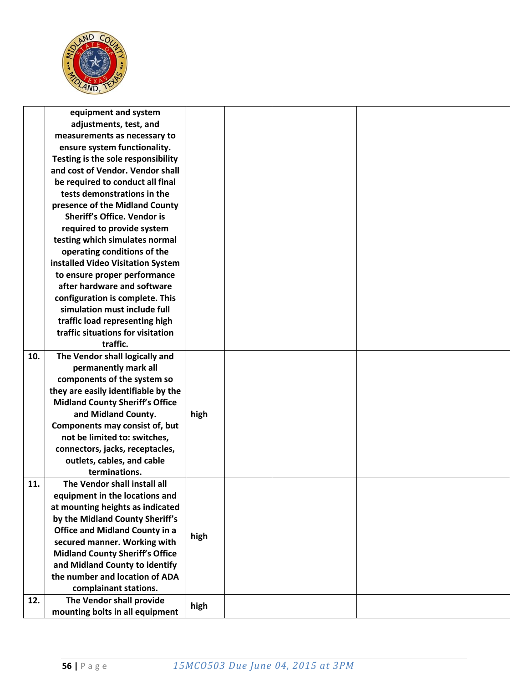

|     | equipment and system                   |      |  |  |
|-----|----------------------------------------|------|--|--|
|     | adjustments, test, and                 |      |  |  |
|     | measurements as necessary to           |      |  |  |
|     | ensure system functionality.           |      |  |  |
|     | Testing is the sole responsibility     |      |  |  |
|     | and cost of Vendor. Vendor shall       |      |  |  |
|     | be required to conduct all final       |      |  |  |
|     | tests demonstrations in the            |      |  |  |
|     | presence of the Midland County         |      |  |  |
|     | Sheriff's Office. Vendor is            |      |  |  |
|     | required to provide system             |      |  |  |
|     | testing which simulates normal         |      |  |  |
|     | operating conditions of the            |      |  |  |
|     | installed Video Visitation System      |      |  |  |
|     | to ensure proper performance           |      |  |  |
|     | after hardware and software            |      |  |  |
|     | configuration is complete. This        |      |  |  |
|     | simulation must include full           |      |  |  |
|     | traffic load representing high         |      |  |  |
|     | traffic situations for visitation      |      |  |  |
|     | traffic.                               |      |  |  |
| 10. | The Vendor shall logically and         |      |  |  |
|     | permanently mark all                   |      |  |  |
|     | components of the system so            |      |  |  |
|     | they are easily identifiable by the    |      |  |  |
|     | <b>Midland County Sheriff's Office</b> |      |  |  |
|     | and Midland County.                    | high |  |  |
|     | Components may consist of, but         |      |  |  |
|     | not be limited to: switches,           |      |  |  |
|     | connectors, jacks, receptacles,        |      |  |  |
|     | outlets, cables, and cable             |      |  |  |
|     | terminations.                          |      |  |  |
| 11. | The Vendor shall install all           |      |  |  |
|     | equipment in the locations and         |      |  |  |
|     | at mounting heights as indicated       |      |  |  |
|     | by the Midland County Sheriff's        |      |  |  |
|     | <b>Office and Midland County in a</b>  |      |  |  |
|     | secured manner. Working with           | high |  |  |
|     | <b>Midland County Sheriff's Office</b> |      |  |  |
|     | and Midland County to identify         |      |  |  |
|     | the number and location of ADA         |      |  |  |
|     | complainant stations.                  |      |  |  |
| 12. | The Vendor shall provide               |      |  |  |
|     | mounting bolts in all equipment        | high |  |  |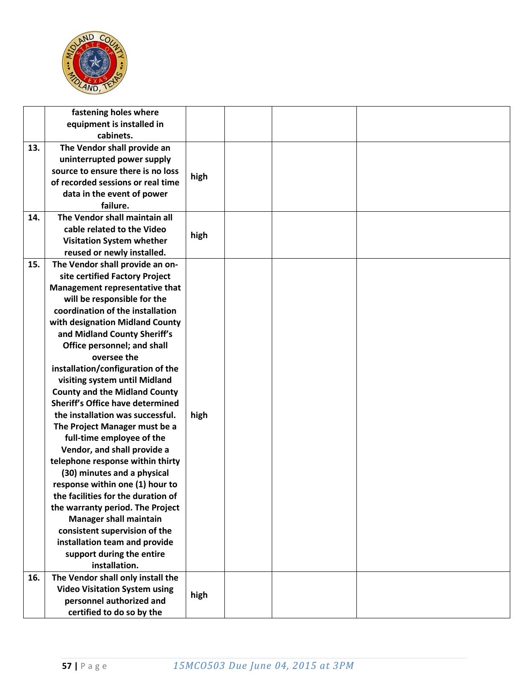

|     | fastening holes where<br>equipment is installed in<br>cabinets.                                                                                                                                                                                                                                                                                                                                                                                                                                                                                                                                                                                                                                                                                                                                                                                                                                             |      |  |  |
|-----|-------------------------------------------------------------------------------------------------------------------------------------------------------------------------------------------------------------------------------------------------------------------------------------------------------------------------------------------------------------------------------------------------------------------------------------------------------------------------------------------------------------------------------------------------------------------------------------------------------------------------------------------------------------------------------------------------------------------------------------------------------------------------------------------------------------------------------------------------------------------------------------------------------------|------|--|--|
| 13. | The Vendor shall provide an<br>uninterrupted power supply<br>source to ensure there is no loss<br>of recorded sessions or real time<br>data in the event of power<br>failure.                                                                                                                                                                                                                                                                                                                                                                                                                                                                                                                                                                                                                                                                                                                               | high |  |  |
| 14. | The Vendor shall maintain all<br>cable related to the Video<br><b>Visitation System whether</b><br>reused or newly installed.                                                                                                                                                                                                                                                                                                                                                                                                                                                                                                                                                                                                                                                                                                                                                                               | high |  |  |
| 15. | The Vendor shall provide an on-<br>site certified Factory Project<br>Management representative that<br>will be responsible for the<br>coordination of the installation<br>with designation Midland County<br>and Midland County Sheriff's<br>Office personnel; and shall<br>oversee the<br>installation/configuration of the<br>visiting system until Midland<br><b>County and the Midland County</b><br>Sheriff's Office have determined<br>the installation was successful.<br>The Project Manager must be a<br>full-time employee of the<br>Vendor, and shall provide a<br>telephone response within thirty<br>(30) minutes and a physical<br>response within one (1) hour to<br>the facilities for the duration of<br>the warranty period. The Project<br><b>Manager shall maintain</b><br>consistent supervision of the<br>installation team and provide<br>support during the entire<br>installation. | high |  |  |
| 16. | The Vendor shall only install the<br><b>Video Visitation System using</b><br>personnel authorized and<br>certified to do so by the                                                                                                                                                                                                                                                                                                                                                                                                                                                                                                                                                                                                                                                                                                                                                                          | high |  |  |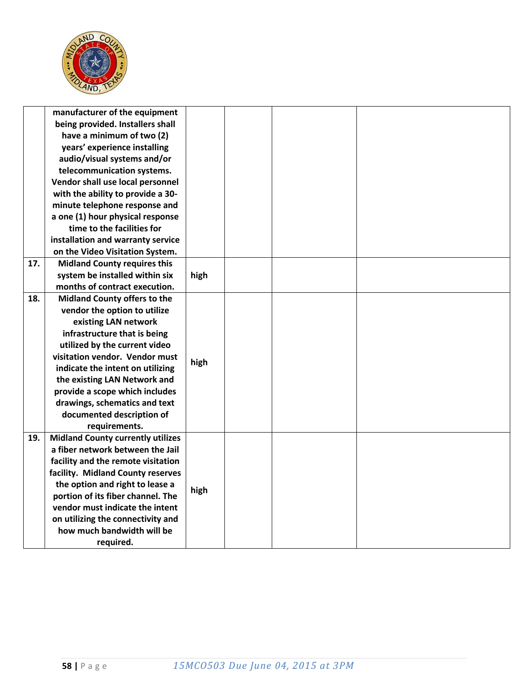

|     | manufacturer of the equipment<br>being provided. Installers shall<br>have a minimum of two (2)<br>years' experience installing<br>audio/visual systems and/or<br>telecommunication systems.<br>Vendor shall use local personnel<br>with the ability to provide a 30-<br>minute telephone response and<br>a one (1) hour physical response<br>time to the facilities for<br>installation and warranty service<br>on the Video Visitation System. |      |  |  |
|-----|-------------------------------------------------------------------------------------------------------------------------------------------------------------------------------------------------------------------------------------------------------------------------------------------------------------------------------------------------------------------------------------------------------------------------------------------------|------|--|--|
| 17. | <b>Midland County requires this</b><br>system be installed within six<br>months of contract execution.                                                                                                                                                                                                                                                                                                                                          | high |  |  |
| 18. | <b>Midland County offers to the</b><br>vendor the option to utilize<br>existing LAN network<br>infrastructure that is being<br>utilized by the current video<br>visitation vendor. Vendor must<br>indicate the intent on utilizing<br>the existing LAN Network and<br>provide a scope which includes<br>drawings, schematics and text<br>documented description of<br>requirements.                                                             | high |  |  |
| 19. | <b>Midland County currently utilizes</b><br>a fiber network between the Jail<br>facility and the remote visitation<br>facility. Midland County reserves<br>the option and right to lease a<br>portion of its fiber channel. The<br>vendor must indicate the intent<br>on utilizing the connectivity and<br>how much bandwidth will be<br>required.                                                                                              | high |  |  |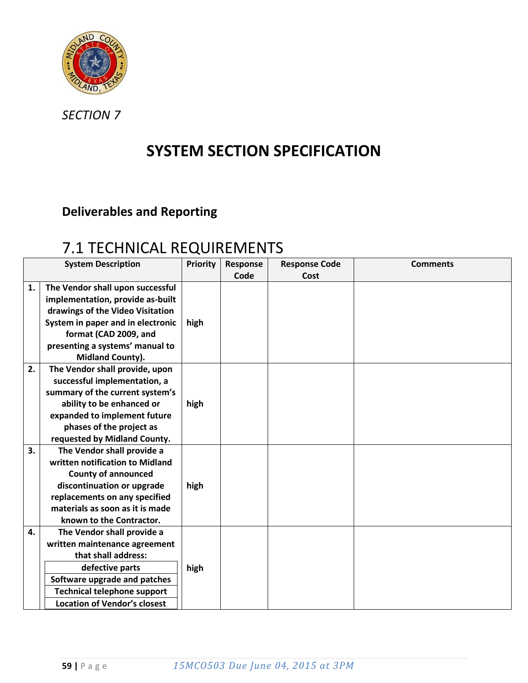

*SECTION 7*

## **SYSTEM SECTION SPECIFICATION**

### **Deliverables and Reporting**

## 7.1 TECHNICAL REQUIREMENTS

| <b>System Description</b> |                                     | <b>Priority</b> | Response | <b>Response Code</b> | <b>Comments</b> |
|---------------------------|-------------------------------------|-----------------|----------|----------------------|-----------------|
|                           |                                     |                 | Code     | Cost                 |                 |
| 1.                        | The Vendor shall upon successful    |                 |          |                      |                 |
|                           | implementation, provide as-built    |                 |          |                      |                 |
|                           | drawings of the Video Visitation    |                 |          |                      |                 |
|                           | System in paper and in electronic   | high            |          |                      |                 |
|                           | format (CAD 2009, and               |                 |          |                      |                 |
|                           | presenting a systems' manual to     |                 |          |                      |                 |
|                           | Midland County).                    |                 |          |                      |                 |
| 2.                        | The Vendor shall provide, upon      |                 |          |                      |                 |
|                           | successful implementation, a        |                 |          |                      |                 |
|                           | summary of the current system's     |                 |          |                      |                 |
|                           | ability to be enhanced or           | high            |          |                      |                 |
|                           | expanded to implement future        |                 |          |                      |                 |
|                           | phases of the project as            |                 |          |                      |                 |
|                           | requested by Midland County.        |                 |          |                      |                 |
| 3.                        | The Vendor shall provide a          |                 |          |                      |                 |
|                           | written notification to Midland     |                 |          |                      |                 |
|                           | <b>County of announced</b>          |                 |          |                      |                 |
|                           | discontinuation or upgrade          | high            |          |                      |                 |
|                           | replacements on any specified       |                 |          |                      |                 |
|                           | materials as soon as it is made     |                 |          |                      |                 |
|                           | known to the Contractor.            |                 |          |                      |                 |
| 4.                        | The Vendor shall provide a          |                 |          |                      |                 |
|                           | written maintenance agreement       |                 |          |                      |                 |
|                           | that shall address:                 |                 |          |                      |                 |
|                           | defective parts                     | high            |          |                      |                 |
|                           | Software upgrade and patches        |                 |          |                      |                 |
|                           | <b>Technical telephone support</b>  |                 |          |                      |                 |
|                           | <b>Location of Vendor's closest</b> |                 |          |                      |                 |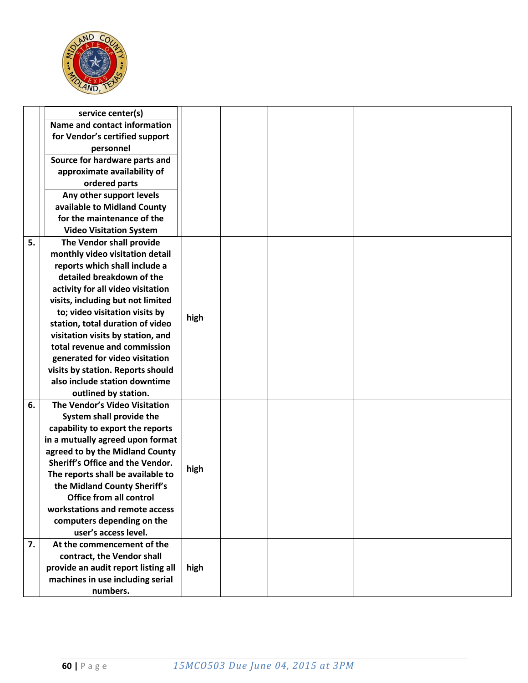

|    | service center(s)                                                |      |  |  |
|----|------------------------------------------------------------------|------|--|--|
|    | Name and contact information                                     |      |  |  |
|    | for Vendor's certified support                                   |      |  |  |
|    | personnel                                                        |      |  |  |
|    | Source for hardware parts and                                    |      |  |  |
|    | approximate availability of                                      |      |  |  |
|    | ordered parts                                                    |      |  |  |
|    | Any other support levels                                         |      |  |  |
|    | available to Midland County                                      |      |  |  |
|    | for the maintenance of the                                       |      |  |  |
|    | <b>Video Visitation System</b>                                   |      |  |  |
| 5. | The Vendor shall provide                                         |      |  |  |
|    | monthly video visitation detail                                  |      |  |  |
|    | reports which shall include a                                    |      |  |  |
|    | detailed breakdown of the                                        |      |  |  |
|    | activity for all video visitation                                |      |  |  |
|    | visits, including but not limited                                |      |  |  |
|    | to; video visitation visits by                                   |      |  |  |
|    | station, total duration of video                                 | high |  |  |
|    | visitation visits by station, and                                |      |  |  |
|    | total revenue and commission                                     |      |  |  |
|    | generated for video visitation                                   |      |  |  |
|    | visits by station. Reports should                                |      |  |  |
|    | also include station downtime                                    |      |  |  |
|    | outlined by station.                                             |      |  |  |
| 6. | The Vendor's Video Visitation                                    |      |  |  |
|    | System shall provide the                                         |      |  |  |
|    | capability to export the reports                                 |      |  |  |
|    | in a mutually agreed upon format                                 |      |  |  |
|    | agreed to by the Midland County                                  | high |  |  |
|    | Sheriff's Office and the Vendor.                                 |      |  |  |
|    | The reports shall be available to                                |      |  |  |
|    | the Midland County Sheriff's                                     |      |  |  |
|    | <b>Office from all control</b><br>workstations and remote access |      |  |  |
|    |                                                                  |      |  |  |
|    | computers depending on the<br>user's access level.               |      |  |  |
| 7. | At the commencement of the                                       |      |  |  |
|    | contract, the Vendor shall                                       |      |  |  |
|    | provide an audit report listing all                              | high |  |  |
|    | machines in use including serial                                 |      |  |  |
|    | numbers.                                                         |      |  |  |
|    |                                                                  |      |  |  |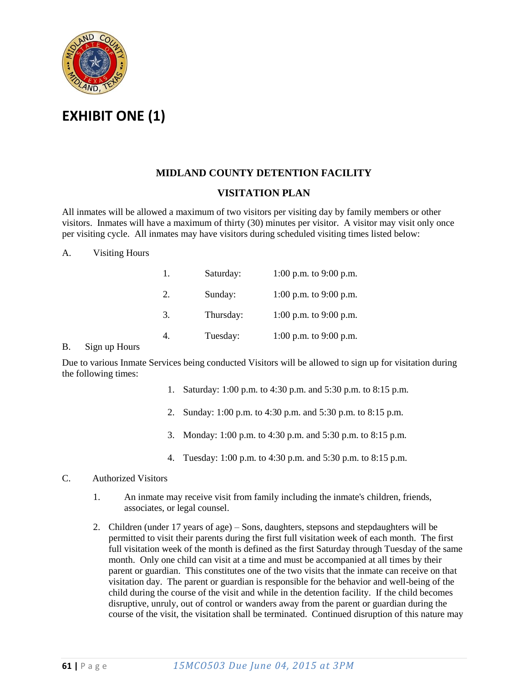

### **EXHIBIT ONE (1)**

#### **MIDLAND COUNTY DETENTION FACILITY**

#### **VISITATION PLAN**

All inmates will be allowed a maximum of two visitors per visiting day by family members or other visitors. Inmates will have a maximum of thirty (30) minutes per visitor. A visitor may visit only once per visiting cycle. All inmates may have visitors during scheduled visiting times listed below:

#### A. Visiting Hours

|    | Saturday: | 1:00 p.m. to 9:00 p.m. |
|----|-----------|------------------------|
| 2. | Sunday:   | 1:00 p.m. to 9:00 p.m. |
| 3. | Thursday: | 1:00 p.m. to 9:00 p.m. |
|    | Tuesday:  | 1:00 p.m. to 9:00 p.m. |

#### B. Sign up Hours

Due to various Inmate Services being conducted Visitors will be allowed to sign up for visitation during the following times:

- 1. Saturday: 1:00 p.m. to 4:30 p.m. and 5:30 p.m. to 8:15 p.m.
- 2. Sunday: 1:00 p.m. to 4:30 p.m. and 5:30 p.m. to 8:15 p.m.
- 3. Monday: 1:00 p.m. to 4:30 p.m. and 5:30 p.m. to 8:15 p.m.
- 4. Tuesday: 1:00 p.m. to 4:30 p.m. and 5:30 p.m. to 8:15 p.m.

#### C. Authorized Visitors

- 1. An inmate may receive visit from family including the inmate's children, friends, associates, or legal counsel.
- 2. Children (under 17 years of age) Sons, daughters, stepsons and stepdaughters will be permitted to visit their parents during the first full visitation week of each month. The first full visitation week of the month is defined as the first Saturday through Tuesday of the same month. Only one child can visit at a time and must be accompanied at all times by their parent or guardian. This constitutes one of the two visits that the inmate can receive on that visitation day. The parent or guardian is responsible for the behavior and well-being of the child during the course of the visit and while in the detention facility. If the child becomes disruptive, unruly, out of control or wanders away from the parent or guardian during the course of the visit, the visitation shall be terminated. Continued disruption of this nature may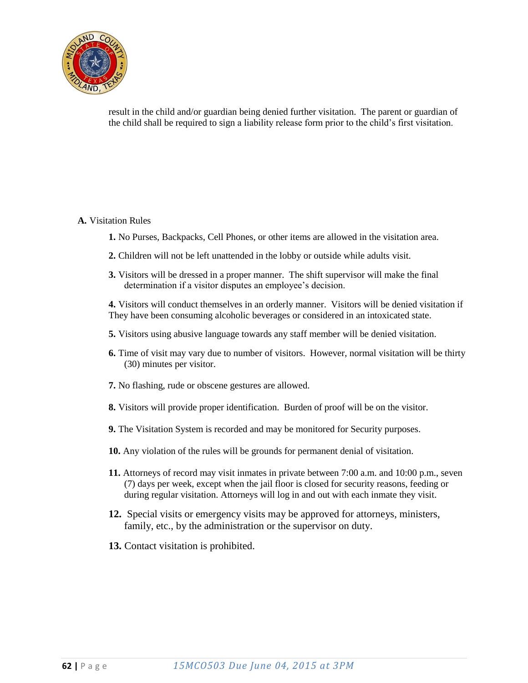

result in the child and/or guardian being denied further visitation. The parent or guardian of the child shall be required to sign a liability release form prior to the child's first visitation.

#### **A.** Visitation Rules

- **1.** No Purses, Backpacks, Cell Phones, or other items are allowed in the visitation area.
- **2.** Children will not be left unattended in the lobby or outside while adults visit.
- **3.** Visitors will be dressed in a proper manner. The shift supervisor will make the final determination if a visitor disputes an employee's decision.

**4.** Visitors will conduct themselves in an orderly manner. Visitors will be denied visitation if They have been consuming alcoholic beverages or considered in an intoxicated state.

- **5.** Visitors using abusive language towards any staff member will be denied visitation.
- **6.** Time of visit may vary due to number of visitors. However, normal visitation will be thirty (30) minutes per visitor.
- **7.** No flashing, rude or obscene gestures are allowed.
- **8.** Visitors will provide proper identification. Burden of proof will be on the visitor.
- **9.** The Visitation System is recorded and may be monitored for Security purposes.
- **10.** Any violation of the rules will be grounds for permanent denial of visitation.
- **11.** Attorneys of record may visit inmates in private between 7:00 a.m. and 10:00 p.m., seven (7) days per week, except when the jail floor is closed for security reasons, feeding or during regular visitation. Attorneys will log in and out with each inmate they visit.
- **12.** Special visits or emergency visits may be approved for attorneys, ministers, family, etc., by the administration or the supervisor on duty.
- **13.** Contact visitation is prohibited.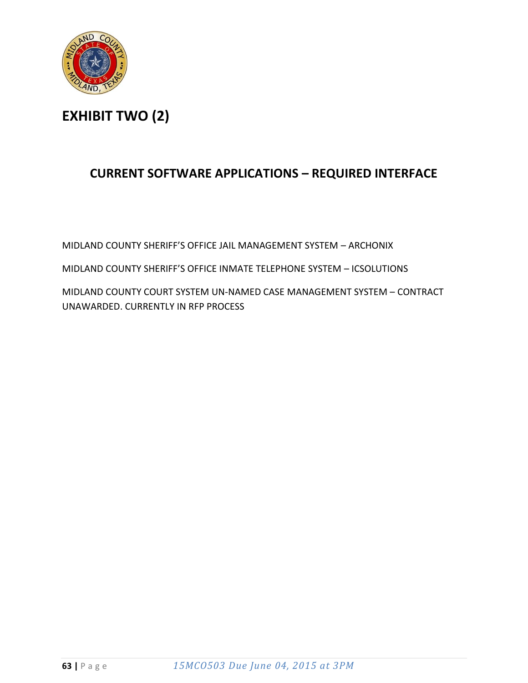

## **EXHIBIT TWO (2)**

### **CURRENT SOFTWARE APPLICATIONS – REQUIRED INTERFACE**

MIDLAND COUNTY SHERIFF'S OFFICE JAIL MANAGEMENT SYSTEM – ARCHONIX

MIDLAND COUNTY SHERIFF'S OFFICE INMATE TELEPHONE SYSTEM – ICSOLUTIONS

MIDLAND COUNTY COURT SYSTEM UN-NAMED CASE MANAGEMENT SYSTEM – CONTRACT UNAWARDED. CURRENTLY IN RFP PROCESS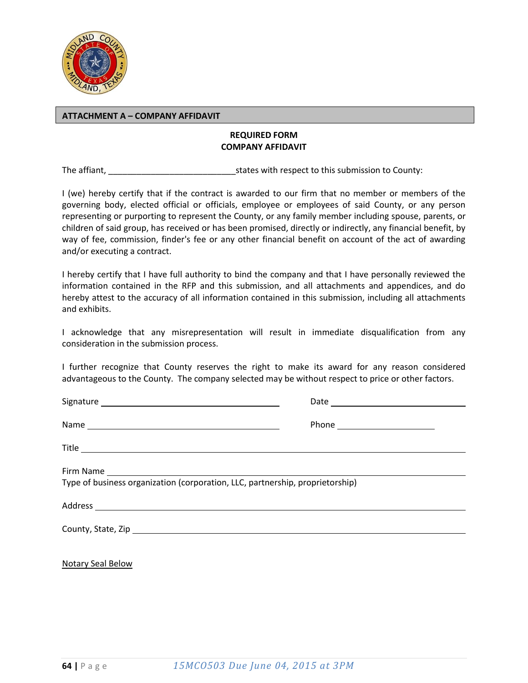

#### **ATTACHMENT A – COMPANY AFFIDAVIT**

#### **REQUIRED FORM COMPANY AFFIDAVIT**

The affiant, \_\_\_\_\_\_\_\_\_\_\_\_\_\_\_\_\_\_\_\_\_\_\_\_\_\_\_states with respect to this submission to County:

I (we) hereby certify that if the contract is awarded to our firm that no member or members of the governing body, elected official or officials, employee or employees of said County, or any person representing or purporting to represent the County, or any family member including spouse, parents, or children of said group, has received or has been promised, directly or indirectly, any financial benefit, by way of fee, commission, finder's fee or any other financial benefit on account of the act of awarding and/or executing a contract.

I hereby certify that I have full authority to bind the company and that I have personally reviewed the information contained in the RFP and this submission, and all attachments and appendices, and do hereby attest to the accuracy of all information contained in this submission, including all attachments and exhibits.

I acknowledge that any misrepresentation will result in immediate disqualification from any consideration in the submission process.

I further recognize that County reserves the right to make its award for any reason considered advantageous to the County. The company selected may be without respect to price or other factors.

| Signature experience and the state of the state of the state of the state of the state of the state of the state of the state of the state of the state of the state of the state of the state of the state of the state of th |  |  |  |  |  |
|--------------------------------------------------------------------------------------------------------------------------------------------------------------------------------------------------------------------------------|--|--|--|--|--|
|                                                                                                                                                                                                                                |  |  |  |  |  |
|                                                                                                                                                                                                                                |  |  |  |  |  |
|                                                                                                                                                                                                                                |  |  |  |  |  |
| Type of business organization (corporation, LLC, partnership, proprietorship)                                                                                                                                                  |  |  |  |  |  |
|                                                                                                                                                                                                                                |  |  |  |  |  |
|                                                                                                                                                                                                                                |  |  |  |  |  |
| <b>Notary Seal Below</b>                                                                                                                                                                                                       |  |  |  |  |  |